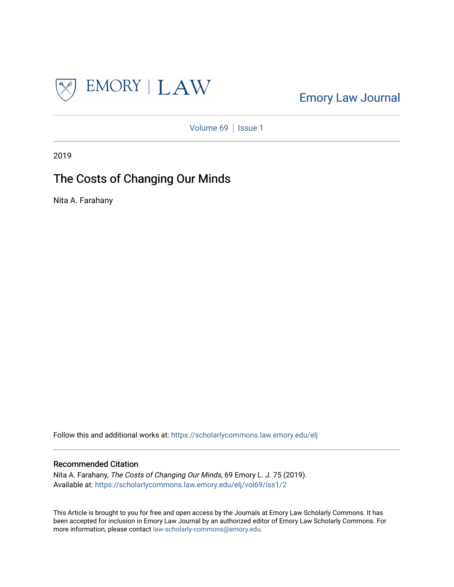

[Emory Law Journal](https://scholarlycommons.law.emory.edu/elj) 

[Volume 69](https://scholarlycommons.law.emory.edu/elj/vol69) | [Issue 1](https://scholarlycommons.law.emory.edu/elj/vol69/iss1)

2019

# The Costs of Changing Our Minds

Nita A. Farahany

Follow this and additional works at: [https://scholarlycommons.law.emory.edu/elj](https://scholarlycommons.law.emory.edu/elj?utm_source=scholarlycommons.law.emory.edu%2Felj%2Fvol69%2Fiss1%2F2&utm_medium=PDF&utm_campaign=PDFCoverPages) 

# Recommended Citation

Nita A. Farahany, The Costs of Changing Our Minds, 69 Emory L. J. 75 (2019). Available at: [https://scholarlycommons.law.emory.edu/elj/vol69/iss1/2](https://scholarlycommons.law.emory.edu/elj/vol69/iss1/2?utm_source=scholarlycommons.law.emory.edu%2Felj%2Fvol69%2Fiss1%2F2&utm_medium=PDF&utm_campaign=PDFCoverPages) 

This Article is brought to you for free and open access by the Journals at Emory Law Scholarly Commons. It has been accepted for inclusion in Emory Law Journal by an authorized editor of Emory Law Scholarly Commons. For more information, please contact [law-scholarly-commons@emory.edu.](mailto:law-scholarly-commons@emory.edu)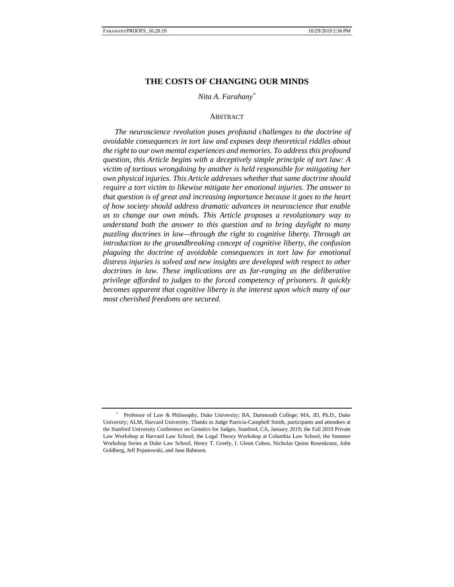# **THE COSTS OF CHANGING OUR MINDS**

## *Nita A. Farahany\**

#### **ABSTRACT**

*The neuroscience revolution poses profound challenges to the doctrine of avoidable consequences in tort law and exposes deep theoretical riddles about the right to our own mental experiences and memories. To address this profound question, this Article begins with a deceptively simple principle of tort law: A victim of tortious wrongdoing by another is held responsible for mitigating her own physical injuries. This Article addresses whether that same doctrine should require a tort victim to likewise mitigate her emotional injuries. The answer to that question is of great and increasing importance because it goes to the heart of how society should address dramatic advances in neuroscience that enable us to change our own minds. This Article proposes a revolutionary way to understand both the answer to this question and to bring daylight to many puzzling doctrines in law—through the right to cognitive liberty. Through an introduction to the groundbreaking concept of cognitive liberty, the confusion plaguing the doctrine of avoidable consequences in tort law for emotional distress injuries is solved and new insights are developed with respect to other doctrines in law. These implications are as far-ranging as the deliberative privilege afforded to judges to the forced competency of prisoners. It quickly becomes apparent that cognitive liberty is the interest upon which many of our most cherished freedoms are secured.*

<sup>\*</sup> Professor of Law & Philosophy, Duke University; BA, Dartmouth College; MA, JD, Ph.D., Duke University; ALM, Harvard University. Thanks to Judge Patricia-Campbell Smith, participants and attendees at the Stanford University Conference on Genetics for Judges, Stanford, CA, January 2019; the Fall 2019 Private Law Workshop at Harvard Law School; the Legal Theory Workshop at Columbia Law School, the Summer Workshop Series at Duke Law School, Henry T. Greely, I. Glenn Cohen, Nicholas Quinn Rosenkranz, John Goldberg, Jeff Pojanowski, and Jane Bahnson.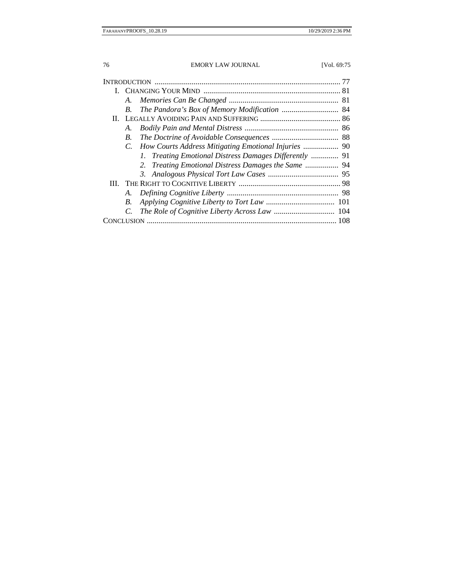|  | A.          |                                                        |  |
|--|-------------|--------------------------------------------------------|--|
|  | В.          |                                                        |  |
|  |             |                                                        |  |
|  | А.          |                                                        |  |
|  | В.          |                                                        |  |
|  | $C_{\cdot}$ |                                                        |  |
|  |             | 1. Treating Emotional Distress Damages Differently  91 |  |
|  |             | 2. Treating Emotional Distress Damages the Same  94    |  |
|  |             |                                                        |  |
|  |             |                                                        |  |
|  | А.          |                                                        |  |
|  | В.          |                                                        |  |
|  | C.          |                                                        |  |
|  |             |                                                        |  |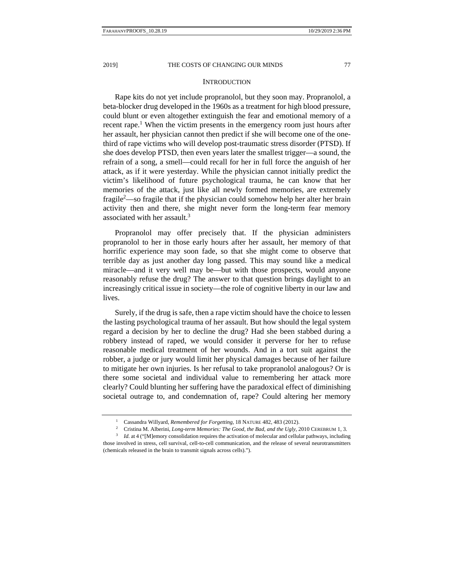#### **INTRODUCTION**

Rape kits do not yet include propranolol, but they soon may. Propranolol, a beta-blocker drug developed in the 1960s as a treatment for high blood pressure, could blunt or even altogether extinguish the fear and emotional memory of a recent rape.<sup>1</sup> When the victim presents in the emergency room just hours after her assault, her physician cannot then predict if she will become one of the onethird of rape victims who will develop post-traumatic stress disorder (PTSD). If she does develop PTSD, then even years later the smallest trigger—a sound, the refrain of a song, a smell—could recall for her in full force the anguish of her attack, as if it were yesterday. While the physician cannot initially predict the victim's likelihood of future psychological trauma, he can know that her memories of the attack, just like all newly formed memories, are extremely fragile<sup>2</sup>—so fragile that if the physician could somehow help her alter her brain activity then and there, she might never form the long-term fear memory associated with her assault.<sup>3</sup>

Propranolol may offer precisely that. If the physician administers propranolol to her in those early hours after her assault, her memory of that horrific experience may soon fade, so that she might come to observe that terrible day as just another day long passed. This may sound like a medical miracle—and it very well may be—but with those prospects, would anyone reasonably refuse the drug? The answer to that question brings daylight to an increasingly critical issue in society—the role of cognitive liberty in our law and lives.

Surely, if the drug is safe, then a rape victim should have the choice to lessen the lasting psychological trauma of her assault. But how should the legal system regard a decision by her to decline the drug? Had she been stabbed during a robbery instead of raped, we would consider it perverse for her to refuse reasonable medical treatment of her wounds. And in a tort suit against the robber, a judge or jury would limit her physical damages because of her failure to mitigate her own injuries. Is her refusal to take propranolol analogous? Or is there some societal and individual value to remembering her attack more clearly? Could blunting her suffering have the paradoxical effect of diminishing societal outrage to, and condemnation of, rape? Could altering her memory

<sup>&</sup>lt;sup>1</sup> Cassandra Willyard, *Remembered for Forgetting*, 18 NATURE 482, 483 (2012).<br><sup>2</sup> Cristina M. Alberini, *Long-term Memories: The Good, the Bad, and the Ugly,* 2010 CEREBRUM 1, 3.<br><sup>3</sup> Id. at 4 ("[M]emory consolidation req

those involved in stress, cell survival, cell-to-cell communication, and the release of several neurotransmitters (chemicals released in the brain to transmit signals across cells).").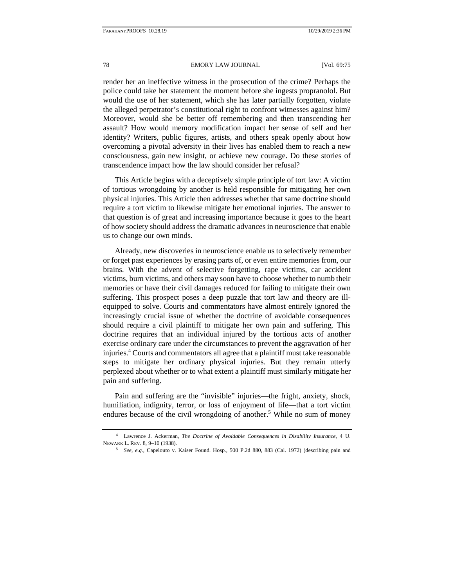#### 78 EMORY LAW JOURNAL [Vol. 69:75]

render her an ineffective witness in the prosecution of the crime? Perhaps the police could take her statement the moment before she ingests propranolol. But would the use of her statement, which she has later partially forgotten, violate the alleged perpetrator's constitutional right to confront witnesses against him? Moreover, would she be better off remembering and then transcending her assault? How would memory modification impact her sense of self and her identity? Writers, public figures, artists, and others speak openly about how overcoming a pivotal adversity in their lives has enabled them to reach a new consciousness, gain new insight, or achieve new courage. Do these stories of transcendence impact how the law should consider her refusal?

This Article begins with a deceptively simple principle of tort law: A victim of tortious wrongdoing by another is held responsible for mitigating her own physical injuries. This Article then addresses whether that same doctrine should require a tort victim to likewise mitigate her emotional injuries. The answer to that question is of great and increasing importance because it goes to the heart of how society should address the dramatic advances in neuroscience that enable us to change our own minds.

Already, new discoveries in neuroscience enable us to selectively remember or forget past experiences by erasing parts of, or even entire memories from, our brains. With the advent of selective forgetting, rape victims, car accident victims, burn victims, and others may soon have to choose whether to numb their memories or have their civil damages reduced for failing to mitigate their own suffering. This prospect poses a deep puzzle that tort law and theory are illequipped to solve. Courts and commentators have almost entirely ignored the increasingly crucial issue of whether the doctrine of avoidable consequences should require a civil plaintiff to mitigate her own pain and suffering. This doctrine requires that an individual injured by the tortious acts of another exercise ordinary care under the circumstances to prevent the aggravation of her injuries.4 Courts and commentators all agree that a plaintiff must take reasonable steps to mitigate her ordinary physical injuries. But they remain utterly perplexed about whether or to what extent a plaintiff must similarly mitigate her pain and suffering.

Pain and suffering are the "invisible" injuries—the fright, anxiety, shock, humiliation, indignity, terror, or loss of enjoyment of life—that a tort victim endures because of the civil wrongdoing of another.<sup>5</sup> While no sum of money

<sup>4</sup> Lawrence J. Ackerman, *The Doctrine of Avoidable Consequences in Disability Insurance*, 4 U. NEWARK L. REV. 8, 9–10 (1938). 5 *See, e.g.*, Capelouto v. Kaiser Found. Hosp., 500 P.2d 880, 883 (Cal. 1972) (describing pain and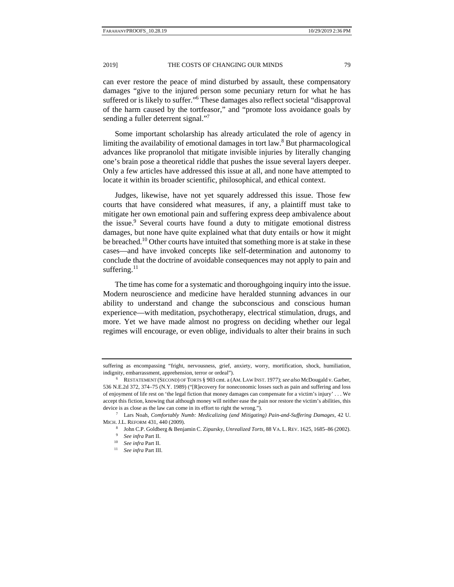can ever restore the peace of mind disturbed by assault, these compensatory damages "give to the injured person some pecuniary return for what he has suffered or is likely to suffer."<sup>6</sup> These damages also reflect societal "disapproval of the harm caused by the tortfeasor," and "promote loss avoidance goals by sending a fuller deterrent signal."<sup>7</sup>

Some important scholarship has already articulated the role of agency in limiting the availability of emotional damages in tort law.<sup>8</sup> But pharmacological advances like propranolol that mitigate invisible injuries by literally changing one's brain pose a theoretical riddle that pushes the issue several layers deeper. Only a few articles have addressed this issue at all, and none have attempted to locate it within its broader scientific, philosophical, and ethical context.

Judges, likewise, have not yet squarely addressed this issue. Those few courts that have considered what measures, if any, a plaintiff must take to mitigate her own emotional pain and suffering express deep ambivalence about the issue.<sup>9</sup> Several courts have found a duty to mitigate emotional distress damages, but none have quite explained what that duty entails or how it might be breached.<sup>10</sup> Other courts have intuited that something more is at stake in these cases—and have invoked concepts like self-determination and autonomy to conclude that the doctrine of avoidable consequences may not apply to pain and suffering. $^{11}$ 

The time has come for a systematic and thoroughgoing inquiry into the issue. Modern neuroscience and medicine have heralded stunning advances in our ability to understand and change the subconscious and conscious human experience—with meditation, psychotherapy, electrical stimulation, drugs, and more. Yet we have made almost no progress on deciding whether our legal regimes will encourage, or even oblige, individuals to alter their brains in such

suffering as encompassing "fright, nervousness, grief, anxiety, worry, mortification, shock, humiliation, indignity, embarrassment, apprehension, terror or ordeal"). 6 RESTATEMENT (SECOND) OF TORTS § 903 cmt. a (AM. LAW INST. 1977); *see also* McDougald v. Garber,

<sup>536</sup> N.E.2d 372, 374–75 (N.Y. 1989) ("[R]ecovery for noneconomic losses such as pain and suffering and loss of enjoyment of life rest on 'the legal fiction that money damages can compensate for a victim's injury' . . . We accept this fiction, knowing that although money will neither ease the pain nor restore the victim's abilities, this device is as close as the law can come in its effort to right the wrong.").<br><sup>7</sup> Lars Noah, *Comfortably Numb: Medicalizing (and Mitigating) Pain-and-Suffering Damages*, 42 U.

MICH. J.L. REFORM 431, 440 (2009).<br>
<sup>8</sup> John C.P. Goldberg & Benjamin C. Zipursky, *Unrealized Torts*, 88 VA. L. REV. 1625, 1685–86 (2002).<br>
<sup>9</sup> See infra Part II.<br>
<sup>10</sup> See infra Part II.<br>
<sup>10</sup> See infra Part II.<br>
<sup>10</sup> S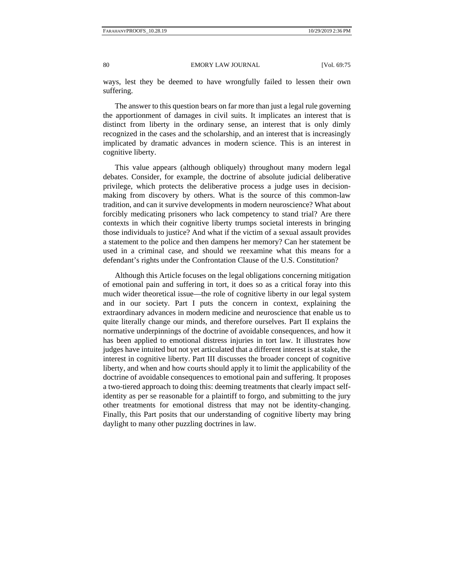ways, lest they be deemed to have wrongfully failed to lessen their own suffering.

The answer to this question bears on far more than just a legal rule governing the apportionment of damages in civil suits. It implicates an interest that is distinct from liberty in the ordinary sense, an interest that is only dimly recognized in the cases and the scholarship, and an interest that is increasingly implicated by dramatic advances in modern science. This is an interest in cognitive liberty.

This value appears (although obliquely) throughout many modern legal debates. Consider, for example, the doctrine of absolute judicial deliberative privilege, which protects the deliberative process a judge uses in decisionmaking from discovery by others. What is the source of this common-law tradition, and can it survive developments in modern neuroscience? What about forcibly medicating prisoners who lack competency to stand trial? Are there contexts in which their cognitive liberty trumps societal interests in bringing those individuals to justice? And what if the victim of a sexual assault provides a statement to the police and then dampens her memory? Can her statement be used in a criminal case, and should we reexamine what this means for a defendant's rights under the Confrontation Clause of the U.S. Constitution?

Although this Article focuses on the legal obligations concerning mitigation of emotional pain and suffering in tort, it does so as a critical foray into this much wider theoretical issue—the role of cognitive liberty in our legal system and in our society. Part I puts the concern in context, explaining the extraordinary advances in modern medicine and neuroscience that enable us to quite literally change our minds, and therefore ourselves. Part II explains the normative underpinnings of the doctrine of avoidable consequences, and how it has been applied to emotional distress injuries in tort law. It illustrates how judges have intuited but not yet articulated that a different interest is at stake, the interest in cognitive liberty. Part III discusses the broader concept of cognitive liberty, and when and how courts should apply it to limit the applicability of the doctrine of avoidable consequences to emotional pain and suffering. It proposes a two-tiered approach to doing this: deeming treatments that clearly impact selfidentity as per se reasonable for a plaintiff to forgo, and submitting to the jury other treatments for emotional distress that may not be identity-changing. Finally, this Part posits that our understanding of cognitive liberty may bring daylight to many other puzzling doctrines in law.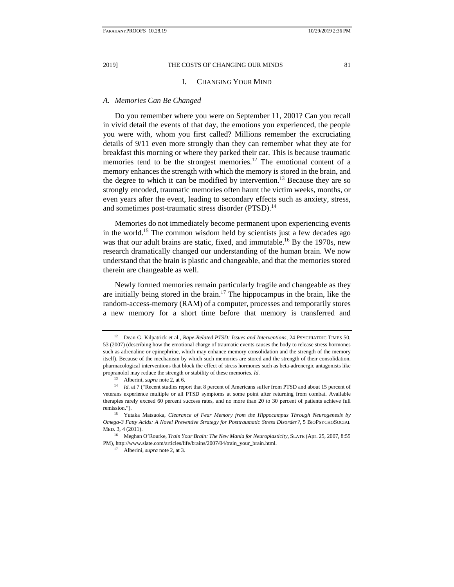#### I. CHANGING YOUR MIND

#### *A. Memories Can Be Changed*

Do you remember where you were on September 11, 2001? Can you recall in vivid detail the events of that day, the emotions you experienced, the people you were with, whom you first called? Millions remember the excruciating details of 9/11 even more strongly than they can remember what they ate for breakfast this morning or where they parked their car. This is because traumatic memories tend to be the strongest memories.<sup>12</sup> The emotional content of a memory enhances the strength with which the memory is stored in the brain, and the degree to which it can be modified by intervention.<sup>13</sup> Because they are so strongly encoded, traumatic memories often haunt the victim weeks, months, or even years after the event, leading to secondary effects such as anxiety, stress, and sometimes post-traumatic stress disorder (PTSD).<sup>14</sup>

Memories do not immediately become permanent upon experiencing events in the world.<sup>15</sup> The common wisdom held by scientists just a few decades ago was that our adult brains are static, fixed, and immutable.<sup>16</sup> By the 1970s, new research dramatically changed our understanding of the human brain. We now understand that the brain is plastic and changeable, and that the memories stored therein are changeable as well.

Newly formed memories remain particularly fragile and changeable as they are initially being stored in the brain.<sup>17</sup> The hippocampus in the brain, like the random-access-memory (RAM) of a computer, processes and temporarily stores a new memory for a short time before that memory is transferred and

<sup>12</sup> Dean G. Kilpatrick et al., *Rape-Related PTSD: Issues and Interventions*, 24 PSYCHIATRIC TIMES 50, 53 (2007) (describing how the emotional charge of traumatic events causes the body to release stress hormones such as adrenaline or epinephrine, which may enhance memory consolidation and the strength of the memory itself). Because of the mechanism by which such memories are stored and the strength of their consolidation, pharmacological interventions that block the effect of stress hormones such as beta-adrenergic antagonists like propranolol may reduce the strength or stability of these memories. *Id.*

<sup>&</sup>lt;sup>13</sup> Alberini, *supra* note 2, at 6. 14 *Id.* at 7 ("Recent studies report that 8 percent of Americans suffer from PTSD and about 15 percent of veterans experience multiple or all PTSD symptoms at some point after returning from combat. Available therapies rarely exceed 60 percent success rates, and no more than 20 to 30 percent of patients achieve full remission.").<br><sup>15</sup> Yutaka Matsuoka, *Clearance of Fear Memory from the Hippocampus Through Neurogenesis by* 

*Omega-3 Fatty Acids: A Novel Preventive Strategy for Posttraumatic Stress Disorder?*, 5 BIOPSYCHOSOCIAL MED. 3, 4 (2011).

<sup>16</sup> Meghan O'Rourke, *Train Your Brain: The New Mania for Neuroplasticity*, SLATE (Apr. 25, 2007, 8:55 PM), http://www.slate.com/articles/life/brains/2007/04/train\_your\_brain.html. 17 Alberini, *supra* note 2, at 3.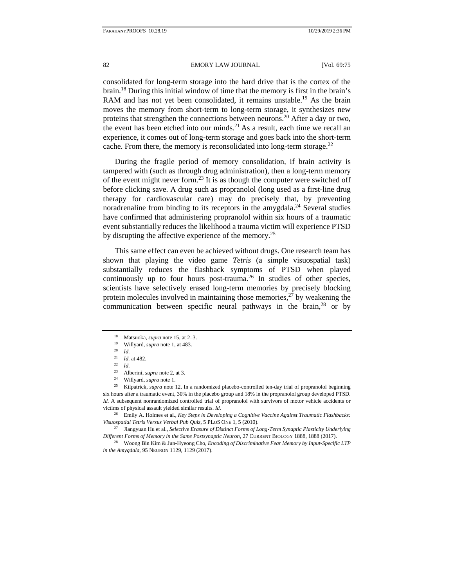consolidated for long-term storage into the hard drive that is the cortex of the brain.18 During this initial window of time that the memory is first in the brain's RAM and has not yet been consolidated, it remains unstable.<sup>19</sup> As the brain moves the memory from short-term to long-term storage, it synthesizes new proteins that strengthen the connections between neurons.<sup>20</sup> After a day or two, the event has been etched into our minds.<sup>21</sup> As a result, each time we recall an experience, it comes out of long-term storage and goes back into the short-term cache. From there, the memory is reconsolidated into long-term storage.<sup>22</sup>

During the fragile period of memory consolidation, if brain activity is tampered with (such as through drug administration), then a long-term memory of the event might never form.<sup>23</sup> It is as though the computer were switched off before clicking save. A drug such as propranolol (long used as a first-line drug therapy for cardiovascular care) may do precisely that, by preventing noradrenaline from binding to its receptors in the amygdala.<sup>24</sup> Several studies have confirmed that administering propranolol within six hours of a traumatic event substantially reduces the likelihood a trauma victim will experience PTSD by disrupting the affective experience of the memory.<sup>25</sup>

This same effect can even be achieved without drugs. One research team has shown that playing the video game *Tetris* (a simple visuospatial task) substantially reduces the flashback symptoms of PTSD when played continuously up to four hours post-trauma.<sup>26</sup> In studies of other species, scientists have selectively erased long-term memories by precisely blocking protein molecules involved in maintaining those memories,  $27$  by weakening the communication between specific neural pathways in the brain, $28$  or by

26 Emily A. Holmes et al., *Key Steps in Developing a Cognitive Vaccine Against Traumatic Flashbacks: Visuospatial Tetris Versus Verbal Pub Quiz*, 5 PLOS ONE 1, 5 (2010). 27 Jiangyuan Hu et al., *Selective Erasure of Distinct Forms of Long-Term Synaptic Plasticity Underlying* 

*Different Forms of Memory in the Same Postsynaptic Neuron*, 27 CURRENT BIOLOGY 1888, 1888 (2017). 28 Woong Bin Kim & Jun-Hyeong Cho, *Encoding of Discriminative Fear Memory by Input-Specific LTP* 

*in the Amygdala*, 95 NEURON 1129, 1129 (2017).

<sup>&</sup>lt;sup>18</sup> Matsuoka, *supra* note 15, at 2–3.<br>
<sup>19</sup> Willyard, *supra* note 1, at 483.<br>
<sup>20</sup> *Id.*<br>
<sup>21</sup> *Id.* at 482.<br>
<sup>22</sup> *Id.*<br>
<sup>23</sup> Alberini, *supra* note 2, at 3.<br>
<sup>24</sup> Willyard, *supra* note 1.<br> *Kilpatrick, supra* note 1 six hours after a traumatic event, 30% in the placebo group and 18% in the propranolol group developed PTSD. *Id.* A subsequent nonrandomized controlled trial of propranolol with survivors of motor vehicle accidents or victims of physical assault yielded similar results. *Id.*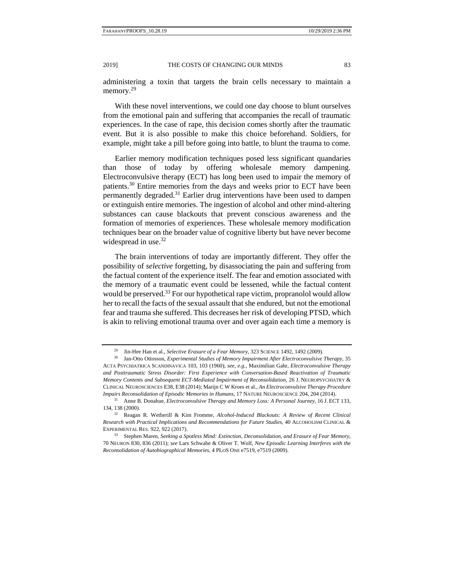administering a toxin that targets the brain cells necessary to maintain a memory.<sup>29</sup>

With these novel interventions, we could one day choose to blunt ourselves from the emotional pain and suffering that accompanies the recall of traumatic experiences. In the case of rape, this decision comes shortly after the traumatic event. But it is also possible to make this choice beforehand. Soldiers, for example, might take a pill before going into battle, to blunt the trauma to come.

Earlier memory modification techniques posed less significant quandaries than those of today by offering wholesale memory dampening. Electroconvulsive therapy (ECT) has long been used to impair the memory of patients.<sup>30</sup> Entire memories from the days and weeks prior to ECT have been permanently degraded.<sup>31</sup> Earlier drug interventions have been used to dampen or extinguish entire memories. The ingestion of alcohol and other mind-altering substances can cause blackouts that prevent conscious awareness and the formation of memories of experiences. These wholesale memory modification techniques bear on the broader value of cognitive liberty but have never become widespread in use. $32$ 

The brain interventions of today are importantly different. They offer the possibility of *selective* forgetting, by disassociating the pain and suffering from the factual content of the experience itself. The fear and emotion associated with the memory of a traumatic event could be lessened, while the factual content would be preserved.<sup>33</sup> For our hypothetical rape victim, propranolol would allow her to recall the facts of the sexual assault that she endured, but not the emotional fear and trauma she suffered. This decreases her risk of developing PTSD, which is akin to reliving emotional trauma over and over again each time a memory is

<sup>29</sup> Jin-Hee Han et al., *Selective Erasure of a Fear Memory*, 323 SCIENCE 1492, 1492 (2009). 30 Jan-Otto Ottosson, *Experimental Studies of Memory Impairment After Electroconvulsive Therapy*, 35

ACTA PSYCHIATRICA SCANDINAVICA 103, 103 (1960); *see, e.g.*, Maximilian Gahr, *Electroconvulsive Therapy and Posttraumatic Stress Disorder: First Experience with Conversation-Based Reactivation of Traumatic Memory Contents and Subsequent ECT-Mediated Impairment of Reconsolidation*, 26 J. NEUROPSYCHIATRY & CLINICAL NEUROSCIENCES E38, E38 (2014); Marijn C W Kroes et al., *An Electroconvulsive Therapy Procedure Impairs Reconsolidation of Episodic Memories in Humans*, 17 NATURE NEUROSCIENCE 204, 204 (2014). 31 Anne B. Donahue, *Electroconvulsive Therapy and Memory Loss: A Personal Journey*, 16 J. ECT 133,

<sup>134, 138 (2000). 32</sup> Reagan R. Wetherill & Kim Fromme, *Alcohol-Induced Blackouts: A Review of Recent Clinical* 

*Research with Practical Implications and Recommendations for Future Studies*, 40 ALCOHOLISM CLINICAL & EXPERIMENTAL RES. 922, 922 (2017). 33 Stephen Maren, *Seeking a Spotless Mind: Extinction, Deconsolidation, and Erasure of Fear Memory*,

<sup>70</sup> NEURON 830, 836 (2011); *see* Lars Schwabe & Oliver T. Wolf, *New Episodic Learning Interferes with the Reconsolidation of Autobiographical Memories*, 4 PLOS ONE e7519, e7519 (2009).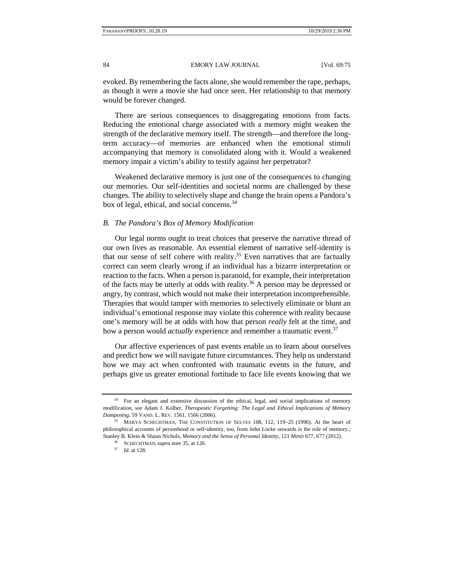evoked. By remembering the facts alone, she would remember the rape, perhaps, as though it were a movie she had once seen. Her relationship to that memory would be forever changed.

There are serious consequences to disaggregating emotions from facts. Reducing the emotional charge associated with a memory might weaken the strength of the declarative memory itself. The strength—and therefore the longterm accuracy—of memories are enhanced when the emotional stimuli accompanying that memory is consolidated along with it. Would a weakened memory impair a victim's ability to testify against her perpetrator?

Weakened declarative memory is just one of the consequences to changing our memories. Our self-identities and societal norms are challenged by these changes. The ability to selectively shape and change the brain opens a Pandora's box of legal, ethical, and social concerns.34

#### *B. The Pandora's Box of Memory Modification*

Our legal norms ought to treat choices that preserve the narrative thread of our own lives as reasonable. An essential element of narrative self-identity is that our sense of self cohere with reality.<sup>35</sup> Even narratives that are factually correct can seem clearly wrong if an individual has a bizarre interpretation or reaction to the facts. When a person is paranoid, for example, their interpretation of the facts may be utterly at odds with reality.<sup>36</sup> A person may be depressed or angry, by contrast, which would not make their interpretation incomprehensible. Therapies that would tamper with memories to selectively eliminate or blunt an individual's emotional response may violate this coherence with reality because one's memory will be at odds with how that person *really* felt at the time, and how a person would *actually* experience and remember a traumatic event.<sup>37</sup>

Our affective experiences of past events enable us to learn about ourselves and predict how we will navigate future circumstances. They help us understand how we may act when confronted with traumatic events in the future, and perhaps give us greater emotional fortitude to face life events knowing that we

<sup>&</sup>lt;sup>34</sup> For an elegant and extensive discussion of the ethical, legal, and social implications of memory modification, see Adam J. Kolber*, Therapeutic Forgetting: The Legal and Ethical Implications of Memory Dampening,* 59 VAND. L. REV. 1561, 1566 (2006).

<sup>35</sup> MARYA SCHECHTMAN, THE CONSTITUTION OF SELVES 108, 112, 119–25 (1996). At the heart of philosophical accounts of personhood or self-identity, too, from John Locke onwards is the role of memory.; Stanley B. Klein & Shaun Nichols, *Memory and the Sense of Personal Identity*, 121 MIND 677, 677 (2012).<br><sup>36</sup> SCHECHTMAN, *supra* note 35, at 126.<br><sup>37</sup> *Id.* at 128.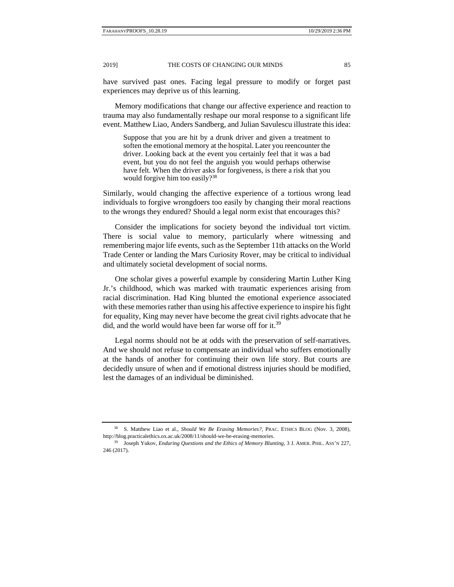have survived past ones. Facing legal pressure to modify or forget past experiences may deprive us of this learning.

Memory modifications that change our affective experience and reaction to trauma may also fundamentally reshape our moral response to a significant life event. Matthew Liao, Anders Sandberg, and Julian Savulescu illustrate this idea:

Suppose that you are hit by a drunk driver and given a treatment to soften the emotional memory at the hospital. Later you reencounter the driver. Looking back at the event you certainly feel that it was a bad event, but you do not feel the anguish you would perhaps otherwise have felt. When the driver asks for forgiveness, is there a risk that you would forgive him too easily?<sup>38</sup>

Similarly, would changing the affective experience of a tortious wrong lead individuals to forgive wrongdoers too easily by changing their moral reactions to the wrongs they endured? Should a legal norm exist that encourages this?

Consider the implications for society beyond the individual tort victim. There is social value to memory, particularly where witnessing and remembering major life events, such as the September 11th attacks on the World Trade Center or landing the Mars Curiosity Rover, may be critical to individual and ultimately societal development of social norms.

One scholar gives a powerful example by considering Martin Luther King Jr.'s childhood, which was marked with traumatic experiences arising from racial discrimination. Had King blunted the emotional experience associated with these memories rather than using his affective experience to inspire his fight for equality, King may never have become the great civil rights advocate that he did, and the world would have been far worse off for it.<sup>39</sup>

Legal norms should not be at odds with the preservation of self-narratives. And we should not refuse to compensate an individual who suffers emotionally at the hands of another for continuing their own life story. But courts are decidedly unsure of when and if emotional distress injuries should be modified, lest the damages of an individual be diminished.

<sup>38</sup> S. Matthew Liao et al., *Should We Be Erasing Memories?*, PRAC. ETHICS BLOG (Nov. 3, 2008), http://blog.practicalethics.ox.ac.uk/2008/11/should-we-be-erasing-memories.

<sup>&</sup>lt;sup>39</sup> Joseph Yukov, *Enduring Questions and the Ethics of Memory Blunting*, 3 J. AMER. PHIL. ASS'N 227, 246 (2017).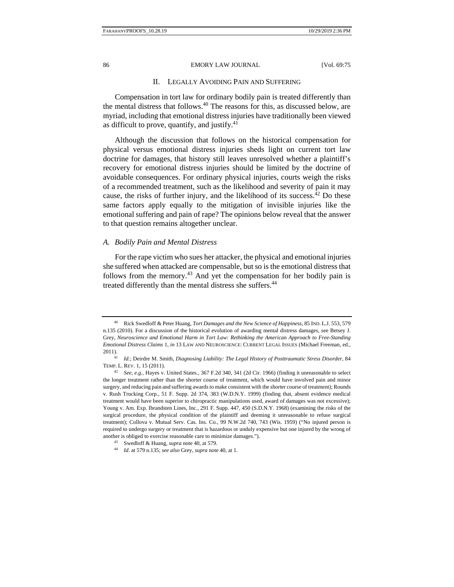#### 86 EMORY LAW JOURNAL [Vol. 69:75]

#### II. LEGALLY AVOIDING PAIN AND SUFFERING

Compensation in tort law for ordinary bodily pain is treated differently than the mental distress that follows. $40$  The reasons for this, as discussed below, are myriad, including that emotional distress injuries have traditionally been viewed as difficult to prove, quantify, and justify. $41$ 

Although the discussion that follows on the historical compensation for physical versus emotional distress injuries sheds light on current tort law doctrine for damages, that history still leaves unresolved whether a plaintiff's recovery for emotional distress injuries should be limited by the doctrine of avoidable consequences. For ordinary physical injuries, courts weigh the risks of a recommended treatment, such as the likelihood and severity of pain it may cause, the risks of further injury, and the likelihood of its success.<sup>42</sup> Do these same factors apply equally to the mitigation of invisible injuries like the emotional suffering and pain of rape? The opinions below reveal that the answer to that question remains altogether unclear.

#### *A. Bodily Pain and Mental Distress*

For the rape victim who sues her attacker, the physical and emotional injuries she suffered when attacked are compensable, but so is the emotional distress that follows from the memory.<sup>43</sup> And yet the compensation for her bodily pain is treated differently than the mental distress she suffers.<sup>44</sup>

<sup>40</sup> Rick Swedloff & Peter Huang, *Tort Damages and the New Science of Happiness*, 85 IND. L.J. 553, 579 n.135 (2010). For a discussion of the historical evolution of awarding mental distress damages, see Betsey J. Grey, *Neuroscience and Emotional Harm in Tort Law: Rethinking the American Approach to Free-Standing Emotional Distress Claims* 1, *in* 13 LAW AND NEUROSCIENCE: CURRENT LEGAL ISSUES (Michael Freeman, ed.,

<sup>2011). 41</sup> *Id.*; Deirdre M. Smith, *Diagnosing Liability: The Legal History of Posttraumatic Stress Disorder*, 84 TEMP. L. REV. 1, 15 (2011). 42 *See, e.g.*, Hayes v. United States*.*, 367 F.2d 340, 341 (2d Cir. 1966) (finding it unreasonable to select

the longer treatment rather than the shorter course of treatment, which would have involved pain and minor surgery, and reducing pain and suffering awards to make consistent with the shorter course of treatment); Rounds v. Rush Trucking Corp*.*, 51 F. Supp. 2d 374, 383 (W.D.N.Y. 1999) (finding that, absent evidence medical treatment would have been superior to chiropractic manipulations used, award of damages was not excessive); Young v. Am. Exp. Ibrandsten Lines, Inc*.*, 291 F. Supp. 447, 450 (S.D.N.Y. 1968) (examining the risks of the surgical procedure, the physical condition of the plaintiff and deeming it unreasonable to refuse surgical treatment); Collova v. Mutual Serv. Cas. Ins. Co*.*, 99 N.W.2d 740, 743 (Wis. 1959) ("No injured person is required to undergo surgery or treatment that is hazardous or unduly expensive but one injured by the wrong of another is obliged to exercise reasonable care to minimize damages."). 43 Swedloff & Huang, *supra* note 40, at 579. 44 *Id*. at 579 n.135; *see also* Grey, *supra* note 40, at 1.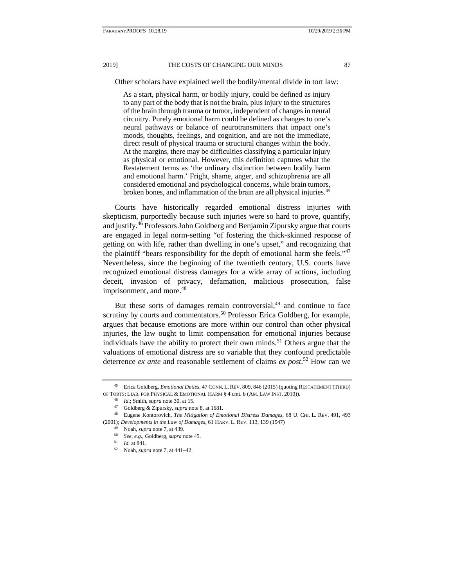Other scholars have explained well the bodily/mental divide in tort law:

As a start, physical harm, or bodily injury, could be defined as injury to any part of the body that is not the brain, plus injury to the structures of the brain through trauma or tumor, independent of changes in neural circuitry. Purely emotional harm could be defined as changes to one's neural pathways or balance of neurotransmitters that impact one's moods, thoughts, feelings, and cognition, and are not the immediate, direct result of physical trauma or structural changes within the body. At the margins, there may be difficulties classifying a particular injury as physical or emotional. However, this definition captures what the Restatement terms as 'the ordinary distinction between bodily harm and emotional harm.' Fright, shame, anger, and schizophrenia are all considered emotional and psychological concerns, while brain tumors, broken bones, and inflammation of the brain are all physical injuries.45

Courts have historically regarded emotional distress injuries with skepticism, purportedly because such injuries were so hard to prove, quantify, and justify.46 Professors John Goldberg and Benjamin Zipursky argue that courts are engaged in legal norm-setting "of fostering the thick-skinned response of getting on with life, rather than dwelling in one's upset," and recognizing that the plaintiff "bears responsibility for the depth of emotional harm she feels."<sup>47</sup> Nevertheless, since the beginning of the twentieth century, U.S. courts have recognized emotional distress damages for a wide array of actions, including deceit, invasion of privacy, defamation, malicious prosecution, false imprisonment, and more.<sup>48</sup>

But these sorts of damages remain controversial, $49$  and continue to face scrutiny by courts and commentators.<sup>50</sup> Professor Erica Goldberg, for example, argues that because emotions are more within our control than other physical injuries, the law ought to limit compensation for emotional injuries because individuals have the ability to protect their own minds.<sup>51</sup> Others argue that the valuations of emotional distress are so variable that they confound predictable deterrence *ex ante* and reasonable settlement of claims *ex post*. 52 How can we

<sup>45</sup> Erica Goldberg, *Emotional Duties*, 47 CONN. L. REV. 809, 846 (2015) (quoting RESTATEMENT (THIRD) OF TORTS: LIAB. FOR PHYSICAL & EMOTIONAL HARM § 4 cmt. b (AM. LAW INST. 2010)).<br><sup>46</sup> Id.; Smith, *supra* note 30, at 15.<br><sup>47</sup> Goldberg & Zipursky, *supra* note 8, at 1681.<br><sup>47</sup> Goldberg & Zipursky, *supra* note 8, at 1681.

<sup>(2001);</sup> *Developments in the Law of Damages*, 61 HARV. L. REV. 113, 139 (1947)<br><sup>49</sup> Noah, *supra* note 7, at 439.<br><sup>50</sup> See, e.g., Goldberg, *supra* note 45.<br><sup>51</sup> Id. at 841.<br>Noah, *supra* note 7, at 441–42.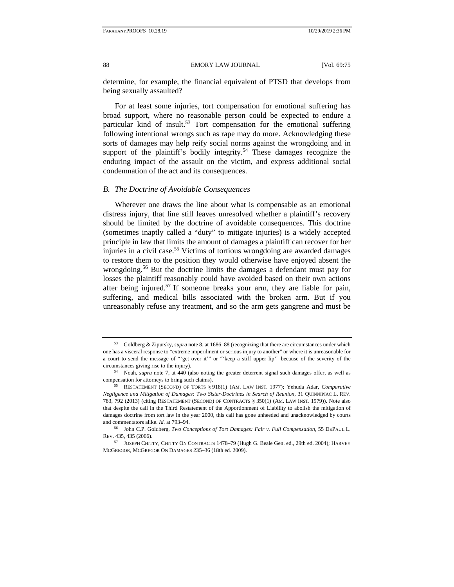determine, for example, the financial equivalent of PTSD that develops from being sexually assaulted?

For at least some injuries, tort compensation for emotional suffering has broad support, where no reasonable person could be expected to endure a particular kind of insult.<sup>53</sup> Tort compensation for the emotional suffering following intentional wrongs such as rape may do more. Acknowledging these sorts of damages may help reify social norms against the wrongdoing and in support of the plaintiff's bodily integrity.<sup>54</sup> These damages recognize the enduring impact of the assault on the victim, and express additional social condemnation of the act and its consequences.

#### *B. The Doctrine of Avoidable Consequences*

Wherever one draws the line about what is compensable as an emotional distress injury, that line still leaves unresolved whether a plaintiff's recovery should be limited by the doctrine of avoidable consequences. This doctrine (sometimes inaptly called a "duty" to mitigate injuries) is a widely accepted principle in law that limits the amount of damages a plaintiff can recover for her injuries in a civil case.<sup>55</sup> Victims of tortious wrongdoing are awarded damages to restore them to the position they would otherwise have enjoyed absent the wrongdoing.<sup>56</sup> But the doctrine limits the damages a defendant must pay for losses the plaintiff reasonably could have avoided based on their own actions after being injured.<sup>57</sup> If someone breaks your arm, they are liable for pain, suffering, and medical bills associated with the broken arm. But if you unreasonably refuse any treatment, and so the arm gets gangrene and must be

<sup>53</sup> Goldberg & Zipursky, *supra* note 8, at 1686–88 (recognizing that there are circumstances under which one has a visceral response to "extreme imperilment or serious injury to another" or where it is unreasonable for a court to send the message of "'get over it'" or "'keep a stiff upper lip'" because of the severity of the circumstances giving rise to the injury). 54 Noah, *supra* note 7, at 440 (also noting the greater deterrent signal such damages offer, as well as

compensation for attorneys to bring such claims). 55 RESTATEMENT (SECOND) OF TORTS § 918(1) (AM. LAW INST. 1977); Yehuda Adar, *Comparative* 

*Negligence and Mitigation of Damages: Two Sister-Doctrines in Search of Reunion*, 31 QUINNIPIAC L. REV. 783, 792 (2013) (citing RESTATEMENT (SECOND) OF CONTRACTS § 350(1) (AM. LAW INST. 1979)). Note also that despite the call in the Third Restatement of the Apportionment of Liability to abolish the mitigation of damages doctrine from tort law in the year 2000, this call has gone unheeded and unacknowledged by courts and commentators alike. *Id.* at 793–94. 56 John C.P. Goldberg, *Two Conceptions of Tort Damages: Fair v. Full Compensation*, 55 DEPAUL L.

REV. 435, 435 (2006).

<sup>57</sup> JOSEPH CHITTY, CHITTY ON CONTRACTS 1478–79 (Hugh G. Beale Gen. ed., 29th ed. 2004); HARVEY MCGREGOR, MCGREGOR ON DAMAGES 235–36 (18th ed. 2009).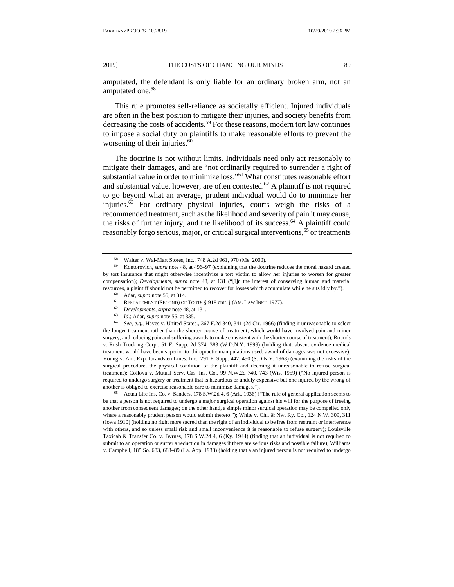amputated, the defendant is only liable for an ordinary broken arm, not an amputated one.<sup>58</sup>

This rule promotes self-reliance as societally efficient. Injured individuals are often in the best position to mitigate their injuries, and society benefits from decreasing the costs of accidents.<sup>59</sup> For these reasons, modern tort law continues to impose a social duty on plaintiffs to make reasonable efforts to prevent the worsening of their injuries. $60$ 

The doctrine is not without limits. Individuals need only act reasonably to mitigate their damages, and are "not ordinarily required to surrender a right of substantial value in order to minimize loss."61 What constitutes reasonable effort and substantial value, however, are often contested.<sup>62</sup> A plaintiff is not required to go beyond what an average, prudent individual would do to minimize her injuries.63 For ordinary physical injuries, courts weigh the risks of a recommended treatment, such as the likelihood and severity of pain it may cause, the risks of further injury, and the likelihood of its success.<sup>64</sup> A plaintiff could reasonably forgo serious, major, or critical surgical interventions,<sup>65</sup> or treatments

- 
- 
- 
- 

the longer treatment rather than the shorter course of treatment, which would have involved pain and minor surgery, and reducing pain and suffering awards to make consistent with the shorter course of treatment); Rounds v. Rush Trucking Corp*.*, 51 F. Supp. 2d 374, 383 (W.D.N.Y. 1999) (holding that, absent evidence medical treatment would have been superior to chiropractic manipulations used, award of damages was not excessive); Young v. Am. Exp. Ibrandsten Lines, Inc*.*, 291 F. Supp. 447, 450 (S.D.N.Y. 1968) (examining the risks of the surgical procedure, the physical condition of the plaintiff and deeming it unreasonable to refuse surgical treatment); Collova v. Mutual Serv. Cas. Ins*.* Co., 99 N.W.2d 740, 743 (Wis. 1959) ("No injured person is required to undergo surgery or treatment that is hazardous or unduly expensive but one injured by the wrong of another is obliged to exercise reasonable care to minimize damages.").<br><sup>65</sup> Aetna Life Ins. Co. v. Sanders, 178 S.W.2d 4, 6 (Ark. 1936) ("The rule of general application seems to

be that a person is not required to undergo a major surgical operation against his will for the purpose of freeing another from consequent damages; on the other hand, a simple minor surgical operation may be compelled only where a reasonably prudent person would submit thereto."); White v. Chi. & Nw. Ry. Co., 124 N.W. 309, 311 (Iowa 1910) (holding no right more sacred than the right of an individual to be free from restraint or interference with others, and so unless small risk and small inconvenience it is reasonable to refuse surgery); Louisville Taxicab & Transfer Co. v. Byrnes, 178 S.W.2d 4, 6 (Ky. 1944) (finding that an individual is not required to submit to an operation or suffer a reduction in damages if there are serious risks and possible failure); Williams v. Campbell, 185 So. 683, 688–89 (La. App. 1938) (holding that a an injured person is not required to undergo

<sup>58</sup> Walter v. Wal-Mart Stores, Inc., 748 A.2d 961, 970 (Me. 2000).

<sup>59</sup> Kontorovich, *supra* note 48, at 496–97 (explaining that the doctrine reduces the moral hazard created by tort insurance that might otherwise incentivize a tort victim to allow her injuries to worsen for greater compensation); *Developments*, *supra* note 48, at 131 ("[I]n the interest of conserving human and material resources, a plaintiff should not be permitted to recover for losses which accumulate while he sits idly by.").<br>
<sup>60</sup> Adar, *supra* note 55, at 814.<br>
<sup>61</sup> RESTATEMENT (SECOND) OF TORTS § 918 cmt. j (AM. LAW INST. 1977).<br>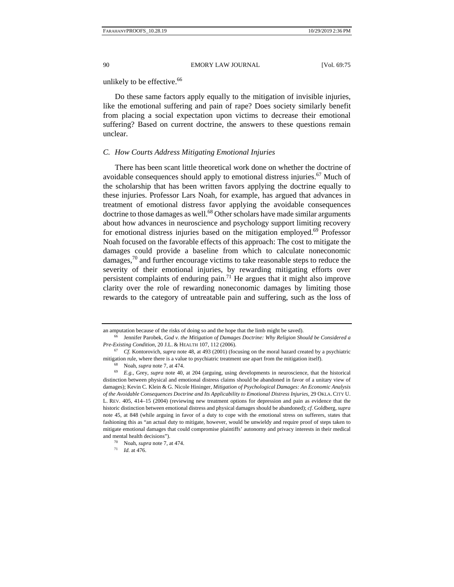## unlikely to be effective.<sup>66</sup>

Do these same factors apply equally to the mitigation of invisible injuries, like the emotional suffering and pain of rape? Does society similarly benefit from placing a social expectation upon victims to decrease their emotional suffering? Based on current doctrine, the answers to these questions remain unclear.

# *C. How Courts Address Mitigating Emotional Injuries*

There has been scant little theoretical work done on whether the doctrine of avoidable consequences should apply to emotional distress injuries.<sup>67</sup> Much of the scholarship that has been written favors applying the doctrine equally to these injuries. Professor Lars Noah, for example, has argued that advances in treatment of emotional distress favor applying the avoidable consequences doctrine to those damages as well.<sup>68</sup> Other scholars have made similar arguments about how advances in neuroscience and psychology support limiting recovery for emotional distress injuries based on the mitigation employed.<sup>69</sup> Professor Noah focused on the favorable effects of this approach: The cost to mitigate the damages could provide a baseline from which to calculate noneconomic damages,70 and further encourage victims to take reasonable steps to reduce the severity of their emotional injuries, by rewarding mitigating efforts over persistent complaints of enduring pain.71 He argues that it might also improve clarity over the role of rewarding noneconomic damages by limiting those rewards to the category of untreatable pain and suffering, such as the loss of

an amputation because of the risks of doing so and the hope that the limb might be saved).<br><sup>66</sup> Jennifer Parobek, *God v. the Mitigation of Damages Doctrine: Why Religion Should be Considered a Pre-Existing Condition*, 20 J.L. & HEALTH 107, 112 (2006). <sup>67</sup> *Cf.* Kontorovich, *supra* note 48, at 493 (2001) (focusing on the moral hazard created by a psychiatric

mitigation rule, where there is a value to psychiatric treatment use apart from the mitigation itself).<br><sup>68</sup> Noah, *supra* note 7, at 474.<br><sup>69</sup> E.g., Grey, *supra* note 40, at 204 (arguing, using developments in neuroscie

distinction between physical and emotional distress claims should be abandoned in favor of a unitary view of damages); Kevin C. Klein & G. Nicole Hininger, *Mitigation of Psychological Damages: An Economic Analysis of the Avoidable Consequences Doctrine and Its Applicability to Emotional Distress Injuries*, 29 OKLA. CITY U. L. REV. 405, 414–15 (2004) (reviewing new treatment options for depression and pain as evidence that the historic distinction between emotional distress and physical damages should be abandoned); *cf.* Goldberg, *supra* note 45, at 848 (while arguing in favor of a duty to cope with the emotional stress on sufferers, states that fashioning this as "an actual duty to mitigate, however, would be unwieldy and require proof of steps taken to mitigate emotional damages that could compromise plaintiffs' autonomy and privacy interests in their medical and mental health decisions"). 70 Noah, *supra* note 7, at 474. 71 *Id.* at 476.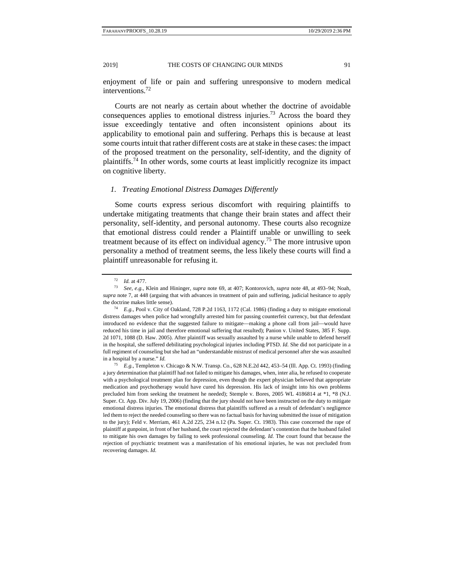enjoyment of life or pain and suffering unresponsive to modern medical interventions.72

Courts are not nearly as certain about whether the doctrine of avoidable consequences applies to emotional distress injuries.<sup>73</sup> Across the board they issue exceedingly tentative and often inconsistent opinions about its applicability to emotional pain and suffering. Perhaps this is because at least some courts intuit that rather different costs are at stake in these cases: the impact of the proposed treatment on the personality, self-identity, and the dignity of plaintiffs.74 In other words, some courts at least implicitly recognize its impact on cognitive liberty.

#### *1. Treating Emotional Distress Damages Differently*

Some courts express serious discomfort with requiring plaintiffs to undertake mitigating treatments that change their brain states and affect their personality, self-identity, and personal autonomy. These courts also recognize that emotional distress could render a Plaintiff unable or unwilling to seek treatment because of its effect on individual agency.<sup>75</sup> The more intrusive upon personality a method of treatment seems, the less likely these courts will find a plaintiff unreasonable for refusing it.

a jury determination that plaintiff had not failed to mitigate his damages, when, inter alia, he refused to cooperate with a psychological treatment plan for depression, even though the expert physician believed that appropriate medication and psychotherapy would have cured his depression. His lack of insight into his own problems precluded him from seeking the treatment he needed); Stemple v. Bores, 2005 WL 4186814 at \*1, \*8 (N.J. Super. Ct. App. Div. July 19, 2006) (finding that the jury should not have been instructed on the duty to mitigate emotional distress injuries. The emotional distress that plaintiffs suffered as a result of defendant's negligence led them to reject the needed counseling so there was no factual basis for having submitted the issue of mitigation to the jury); Feld v. Merriam, 461 A.2d 225, 234 n.12 (Pa. Super. Ct. 1983). This case concerned the rape of plaintiff at gunpoint, in front of her husband, the court rejected the defendant's contention that the husband failed to mitigate his own damages by failing to seek professional counseling. *Id.* The court found that because the rejection of psychiatric treatment was a manifestation of his emotional injuries, he was not precluded from recovering damages. *Id.*

<sup>72</sup> *Id.* at 477. 73 *See, e.g.*, Klein and Hininger, *supra* note 69, at 407; Kontorovich, *supra* note 48, at 493–94; Noah, *supra* note 7, at 448 (arguing that with advances in treatment of pain and suffering, judicial hesitance to apply the doctrine makes little sense).<br><sup>74</sup> *E.g.*, Pool v. City of Oakland, 728 P.2d 1163, 1172 (Cal. 1986) (finding a duty to mitigate emotional

distress damages when police had wrongfully arrested him for passing counterfeit currency, but that defendant introduced no evidence that the suggested failure to mitigate—making a phone call from jail—would have reduced his time in jail and therefore emotional suffering that resulted); Panion v. United States, 385 F. Supp. 2d 1071, 1088 (D. Haw. 2005). After plaintiff was sexually assaulted by a nurse while unable to defend herself in the hospital, she suffered debilitating psychological injuries including PTSD. *Id.* She did not participate in a full regiment of counseling but she had an "understandable mistrust of medical personnel after she was assaulted in a hospital by a nurse." *Id.* 75 *E.g.*, Templeton v. Chicago & N.W. Transp. Co*.*, 628 N.E.2d 442, 453–54 (Ill. App. Ct. 1993) (finding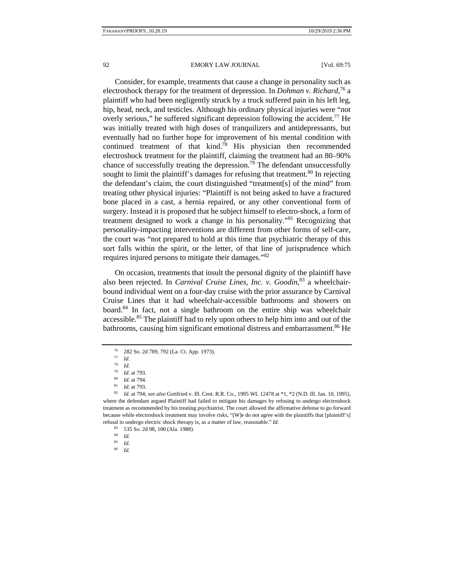Consider, for example, treatments that cause a change in personality such as electroshock therapy for the treatment of depression. In *Dohman v. Richard*, 76 a plaintiff who had been negligently struck by a truck suffered pain in his left leg, hip, head, neck, and testicles. Although his ordinary physical injuries were "not overly serious," he suffered significant depression following the accident.<sup>77</sup> He was initially treated with high doses of tranquilizers and antidepressants, but eventually had no further hope for improvement of his mental condition with continued treatment of that kind.<sup>78</sup> His physician then recommended electroshock treatment for the plaintiff, claiming the treatment had an 80–90% chance of successfully treating the depression.<sup>79</sup> The defendant unsuccessfully sought to limit the plaintiff's damages for refusing that treatment.<sup>80</sup> In rejecting the defendant's claim, the court distinguished "treatment[s] of the mind" from treating other physical injuries: "Plaintiff is not being asked to have a fractured bone placed in a cast, a hernia repaired, or any other conventional form of surgery. Instead it is proposed that he subject himself to electro-shock, a form of treatment designed to work a change in his personality."81 Recognizing that personality-impacting interventions are different from other forms of self-care, the court was "not prepared to hold at this time that psychiatric therapy of this sort falls within the spirit, or the letter, of that line of jurisprudence which requires injured persons to mitigate their damages."82

On occasion, treatments that insult the personal dignity of the plaintiff have also been rejected. In *Carnival Cruise Lines, Inc. v. Goodin*, 83 a wheelchairbound individual went on a four-day cruise with the prior assurance by Carnival Cruise Lines that it had wheelchair-accessible bathrooms and showers on board.84 In fact, not a single bathroom on the entire ship was wheelchair accessible.<sup>85</sup> The plaintiff had to rely upon others to help him into and out of the bathrooms, causing him significant emotional distress and embarrassment.<sup>86</sup> He

<sup>86</sup> *Id.*

<sup>76 282</sup> So. 2d 789, 792 (La. Ct. App. 1973).<br>  $77$  Id

<sup>77</sup> *Id*. 78 *Id*. 79 *Id.* at 793. 80 *Id*. at 794. 81 *Id.* at 793. 82 *Id.* at 794; *see also* Gottfried v. Ill. Cent. R.R. Co., 1995 WL 12478 at \*1, \*2 (N.D. Ill. Jan. 10, 1995), where the defendant argued Plaintiff had failed to mitigate his damages by refusing to undergo electroshock treatment as recommended by his treating psychiatrist. The court allowed the affirmative defense to go forward because while electroshock treatment may involve risks, "[W]e do not agree with the plaintiffs that [plaintiff's] refusal to undergo electric shock therapy is, as a matter of law, reasonable." *Id.*

<sup>535</sup> So. 2d 98, 100 (Ala. 1988).

 $\frac{84}{85}$  *Id.* 

<sup>85</sup> *Id.*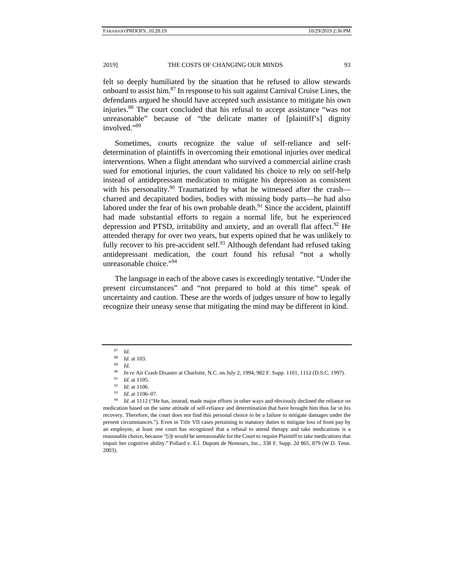felt so deeply humiliated by the situation that he refused to allow stewards onboard to assist him.87 In response to his suit against Carnival Cruise Lines, the defendants argued he should have accepted such assistance to mitigate his own injuries.88 The court concluded that his refusal to accept assistance "was not unreasonable" because of "the delicate matter of [plaintiff's] dignity involved."<sup>89</sup>

Sometimes, courts recognize the value of self-reliance and selfdetermination of plaintiffs in overcoming their emotional injuries over medical interventions. When a flight attendant who survived a commercial airline crash sued for emotional injuries, the court validated his choice to rely on self-help instead of antidepressant medication to mitigate his depression as consistent with his personality.<sup>90</sup> Traumatized by what he witnessed after the crash charred and decapitated bodies, bodies with missing body parts—he had also labored under the fear of his own probable death. $91$  Since the accident, plaintiff had made substantial efforts to regain a normal life, but he experienced depression and PTSD, irritability and anxiety, and an overall flat affect.<sup>92</sup> He attended therapy for over two years, but experts opined that he was unlikely to fully recover to his pre-accident self.<sup>93</sup> Although defendant had refused taking antidepressant medication, the court found his refusal "not a wholly unreasonable choice."94

The language in each of the above cases is exceedingly tentative. "Under the present circumstances" and "not prepared to hold at this time" speak of uncertainty and caution. These are the words of judges unsure of how to legally recognize their uneasy sense that mitigating the mind may be different in kind.

<sup>87</sup> *Id.*

<sup>88</sup> *Id*. at 103. 89 *Id*.

<sup>&</sup>lt;sup>90</sup> *In re* Air Crash Disaster at Charlotte, N.C. on July 2, 1994, 982 F. Supp. 1101, 1112 (D.S.C. 1997).<br><sup>91</sup> *Id.* at 1105.<br><sup>92</sup> *Id.* at 1106.<br><sup>93</sup> *Id.* at 1106–07.<br><sup>94</sup> *Id.* at 1112 ("He has, instead, made major ef

medication based on the same attitude of self-reliance and determination that have brought him thus far in his recovery. Therefore, the court does not find this personal choice to be a failure to mitigate damages under the present circumstances."). Even in Title VII cases pertaining to statutory duties to mitigate loss of front pay by an employee, at least one court has recognized that a refusal to attend therapy and take medications is a reasonable choice, because "[i]t would be unreasonable for the Court to require Plaintiff to take medications that impair her cognitive ability." Pollard v. E.l. Dupont de Nemours, Inc*.*, 338 F. Supp. 2d 865, 879 (W.D. Tenn. 2003).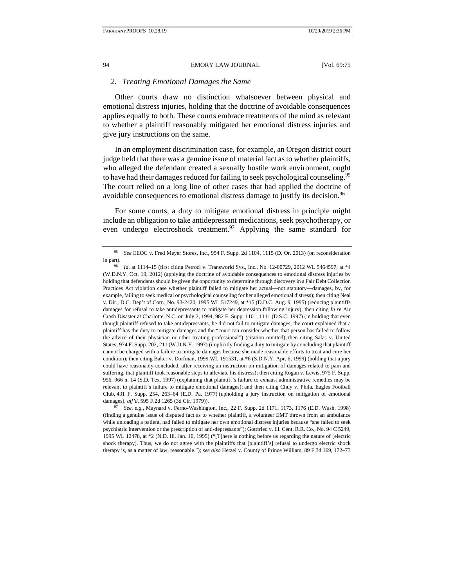## *2. Treating Emotional Damages the Same*

Other courts draw no distinction whatsoever between physical and emotional distress injuries, holding that the doctrine of avoidable consequences applies equally to both. These courts embrace treatments of the mind as relevant to whether a plaintiff reasonably mitigated her emotional distress injuries and give jury instructions on the same.

In an employment discrimination case, for example, an Oregon district court judge held that there was a genuine issue of material fact as to whether plaintiffs, who alleged the defendant created a sexually hostile work environment, ought to have had their damages reduced for failing to seek psychological counseling.<sup>95</sup> The court relied on a long line of other cases that had applied the doctrine of avoidable consequences to emotional distress damage to justify its decision.<sup>96</sup>

For some courts, a duty to mitigate emotional distress in principle might include an obligation to take antidepressant medications, seek psychotherapy, or even undergo electroshock treatment.<sup>97</sup> Applying the same standard for

<sup>95</sup> *See* EEOC v. Fred Meyer Stores, Inc*.*, 954 F. Supp. 2d 1104, 1115 (D. Or. 2013) (on reconsideration in part). 96 *Id*. at 1114–15 (first citing Petroci v. Transworld Sys., Inc*.*, No. 12-00729, 2012 WL 5464597, at \*4

<sup>(</sup>W.D.N.Y. Oct. 19, 2012) (applying the doctrine of avoidable consequences to emotional distress injuries by holding that defendants should be given the opportunity to determine through discovery in a Fair Debt Collection Practices Act violation case whether plaintiff failed to mitigate her actual—not statutory—damages, by, for example, failing to seek medical or psychological counseling for her alleged emotional distress); then citing Neal v. Dir., D.C. Dep't of Corr., No. 93-2420, 1995 WL 517249, at \*15 (D.D.C. Aug. 9, 1995) (reducing plaintiffs damages for refusal to take antidepressants to mitigate her depression following injury); then citing *In re* Air Crash Disaster at Charlotte, N.C. on July 2, 1994, 982 F. Supp. 1101, 1111 (D.S.C. 1997) (in holding that even though plaintiff refused to take antidepressants, he did not fail to mitigate damages, the court explained that a plaintiff has the duty to mitigate damages and the "court can consider whether that person has failed to follow the advice of their physician or other treating professional") (citation omitted); then citing Salas v. United States, 974 F. Supp. 202, 211 (W.D.N.Y. 1997) (implicitly finding a duty to mitigate by concluding that plaintiff cannot be charged with a failure to mitigate damages because she made reasonable efforts to treat and cure her condition); then citing Baker v. Dorfman, 1999 WL 191531, at \*6 (S.D.N.Y. Apr. 6, 1999) (holding that a jury could have reasonably concluded, after receiving an instruction on mitigation of damages related to pain and suffering, that plaintiff took reasonable steps to alleviate his distress); then citing Rogan v. Lewis, 975 F. Supp. 956, 966 n. 14 (S.D. Tex. 1997) (explaining that plaintiff's failure to exhaust administrative remedies may be relevant to plaintiff's failure to mitigate emotional damages); and then citing Chuy v. Phila. Eagles Football Club, 431 F. Supp. 254, 263–64 (E.D. Pa. 1977) (upholding a jury instruction on mitigation of emotional

damages), *aff'd*, 595 F.2d 1265 (3d Cir. 1979)). 97 *See, e.g.*, Maynard v. Ferno-Washington, Inc., 22 F. Supp. 2d 1171, 1173, 1176 (E.D. Wash. 1998) (finding a genuine issue of disputed fact as to whether plaintiff, a volunteer EMT thrown from an ambulance while unloading a patient, had failed to mitigate her own emotional distress injuries because "she failed to seek psychiatric intervention or the prescription of anti-depressants"); Gottfried v. Ill. Cent. R.R. Co*.*, No. 94 C 5249, 1995 WL 12478, at \*2 (N.D. Ill. Jan. 10, 1995) ("[T]here is nothing before us regarding the nature of [electric shock therapy]. Thus, we do not agree with the plaintiffs that [plaintiff's] refusal to undergo electric shock therapy is, as a matter of law, reasonable."); *see also* Hetzel v. County of Prince William, 89 F.3d 169, 172–73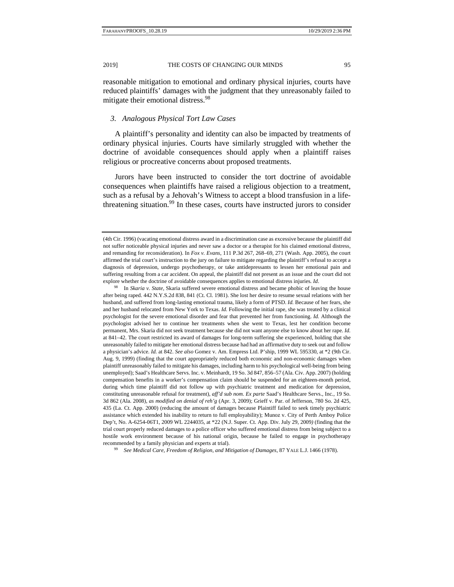reasonable mitigation to emotional and ordinary physical injuries, courts have reduced plaintiffs' damages with the judgment that they unreasonably failed to mitigate their emotional distress.<sup>98</sup>

#### *3. Analogous Physical Tort Law Cases*

A plaintiff's personality and identity can also be impacted by treatments of ordinary physical injuries. Courts have similarly struggled with whether the doctrine of avoidable consequences should apply when a plaintiff raises religious or procreative concerns about proposed treatments.

Jurors have been instructed to consider the tort doctrine of avoidable consequences when plaintiffs have raised a religious objection to a treatment, such as a refusal by a Jehovah's Witness to accept a blood transfusion in a lifethreatening situation.<sup>99</sup> In these cases, courts have instructed jurors to consider

In *Skaria v. State*, Skaria suffered severe emotional distress and became phobic of leaving the house after being raped. 442 N.Y.S.2d 838, 841 (Ct. Cl. 1981). She lost her desire to resume sexual relations with her husband, and suffered from long-lasting emotional trauma, likely a form of PTSD. *Id.* Because of her fears, she and her husband relocated from New York to Texas. *Id.* Following the initial rape, she was treated by a clinical psychologist for the severe emotional disorder and fear that prevented her from functioning. *Id.* Although the psychologist advised her to continue her treatments when she went to Texas, lest her condition become permanent, Mrs. Skaria did not seek treatment because she did not want anyone else to know about her rape. *Id.* at 841–42. The court restricted its award of damages for long-term suffering she experienced, holding that she unreasonably failed to mitigate her emotional distress because had had an affirmative duty to seek out and follow a physician's advice. *Id.* at 842. *See also* Gomez v. Am. Empress Ltd. P'ship, 1999 WL 595330, at \*2 (9th Cir. Aug. 9, 1999) (finding that the court appropriately reduced both economic and non-economic damages when plaintiff unreasonably failed to mitigate his damages, including harm to his psychological well-being from being unemployed); Saad's Healthcare Servs. Inc. v. Meinhardt, 19 So. 3d 847, 856–57 (Ala. Civ. App. 2007) (holding compensation benefits in a worker's compensation claim should be suspended for an eighteen-month period, during which time plaintiff did not follow up with psychiatric treatment and medication for depression, constituting unreasonable refusal for treatment), *aff'd sub nom. Ex parte* Saad's Healthcare Servs., Inc*.*, 19 So. 3d 862 (Ala. 2008), *as modified on denial of reh'g* (Apr. 3, 2009); Grieff v. Par. of Jefferson, 780 So. 2d 425, 435 (La. Ct. App. 2000) (reducing the amount of damages because Plaintiff failed to seek timely psychiatric assistance which extended his inability to return to full employability); Munoz v. City of Perth Amboy Police Dep't, No. A-6254-06T1, 2009 WL 2244035, at \*22 (N.J. Super. Ct. App. Div. July 29, 2009*)* (finding that the trial court properly reduced damages to a police officer who suffered emotional distress from being subject to a hostile work environment because of his national origin, because he failed to engage in psychotherapy recommended by a family physician and experts at trial). 99 *See Medical Care, Freedom of Religion, and Mitigation of Damages*, 87 YALE L.J. 1466 (1978).

<sup>(4</sup>th Cir. 1996) (vacating emotional distress award in a discrimination case as excessive because the plaintiff did not suffer noticeable physical injuries and never saw a doctor or a therapist for his claimed emotional distress, and remanding for reconsideration). In *Fox v. Evans*, 111 P.3d 267, 268–69, 271 (Wash. App. 2005), the court affirmed the trial court's instruction to the jury on failure to mitigate regarding the plaintiff's refusal to accept a diagnosis of depression, undergo psychotherapy, or take antidepressants to lessen her emotional pain and suffering resulting from a car accident. On appeal, the plaintiff did not present as an issue and the court did not explore whether the doctrine of avoidable consequences applies to emotional distress injuries*. Id*.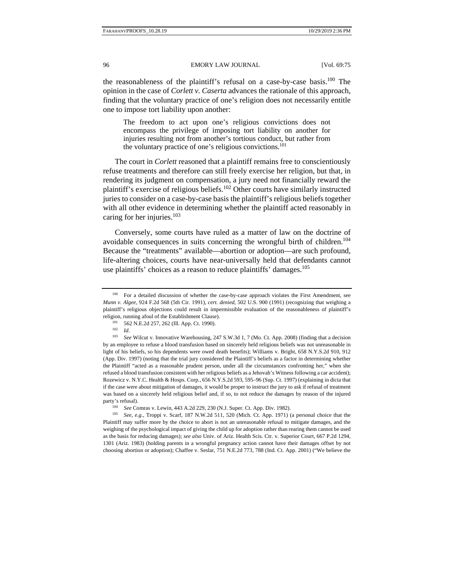the reasonableness of the plaintiff's refusal on a case-by-case basis.<sup>100</sup> The opinion in the case of *Corlett v. Caserta* advances the rationale of this approach, finding that the voluntary practice of one's religion does not necessarily entitle one to impose tort liability upon another:

The freedom to act upon one's religious convictions does not encompass the privilege of imposing tort liability on another for injuries resulting not from another's tortious conduct, but rather from the voluntary practice of one's religious convictions.101

The court in *Corlett* reasoned that a plaintiff remains free to conscientiously refuse treatments and therefore can still freely exercise her religion, but that, in rendering its judgment on compensation, a jury need not financially reward the plaintiff's exercise of religious beliefs.<sup>102</sup> Other courts have similarly instructed juries to consider on a case-by-case basis the plaintiff's religious beliefs together with all other evidence in determining whether the plaintiff acted reasonably in caring for her injuries. $103$ 

Conversely, some courts have ruled as a matter of law on the doctrine of avoidable consequences in suits concerning the wrongful birth of children.<sup>104</sup> Because the "treatments" available—abortion or adoption—are such profound, life-altering choices, courts have near-universally held that defendants cannot use plaintiffs' choices as a reason to reduce plaintiffs' damages.<sup>105</sup>

<sup>&</sup>lt;sup>100</sup> For a detailed discussion of whether the case-by-case approach violates the First Amendment, see *Munn v. Algee,* 924 F.2d 568 (5th Cir. 1991), *cert. denied*, 502 U.S. 900 (1991) (recognizing that weighing a plaintiff's religious objections could result in impermissible evaluation of the reasonableness of plaintiff's

religion, running afoul of the Establishment Clause).<br>
<sup>101</sup> 562 N.E.2d 257, 262 (Ill. App. Ct. 1990).<br>
<sup>102</sup> *Id. See* Wilcut v. Innovative Warehousing, 247 S.W.3d 1, 7 (Mo. Ct. App. 2008) (finding that a decision by an employee to refuse a blood transfusion based on sincerely held religious beliefs was not unreasonable in light of his beliefs, so his dependents were owed death benefits); Williams v. Bright, 658 N.Y.S.2d 910, 912 (App. Div. 1997) (noting that the trial jury considered the Plaintiff's beliefs as a factor in determining whether the Plaintiff "acted as a reasonable prudent person, under all the circumstances confronting her," when she refused a blood transfusion consistent with her religious beliefs as a Jehovah's Witness following a car accident); Rozewicz v. N.Y.C. Health & Hosps. Corp*.*, 656 N.Y.S.2d 593, 595–96 (Sup. Ct. 1997) (explaining in dicta that if the case were about mitigation of damages, it would be proper to instruct the jury to ask if refusal of treatment was based on a sincerely held religious belief and, if so, to not reduce the damages by reason of the injured party's refusal). 104 *See* Comras v. Lewin, 443 A.2d 229, 230 (N.J. Super. Ct. App. Div. 1982). 105 *See, e.g.*, Troppi v. Scarf, 187 N.W.2d 511, 520 (Mich. Ct. App. 1971) (a personal choice that the

Plaintiff may suffer more by the choice to abort is not an unreasonable refusal to mitigate damages, and the weighing of the psychological impact of giving the child up for adoption rather than rearing them cannot be used as the basis for reducing damages); *see also* Univ. of Ariz. Health Scis. Ctr. v. Superior Court, 667 P.2d 1294, 1301 (Ariz. 1983) (holding parents in a wrongful pregnancy action cannot have their damages offset by not choosing abortion or adoption); Chaffee v. Seslar, 751 N.E.2d 773, 788 (Ind. Ct. App. 2001) ("We believe the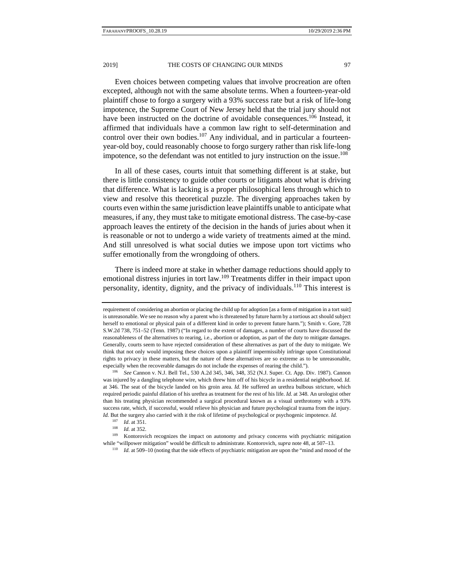Even choices between competing values that involve procreation are often excepted, although not with the same absolute terms. When a fourteen-year-old plaintiff chose to forgo a surgery with a 93% success rate but a risk of life-long impotence, the Supreme Court of New Jersey held that the trial jury should not have been instructed on the doctrine of avoidable consequences.<sup>106</sup> Instead, it affirmed that individuals have a common law right to self-determination and control over their own bodies.<sup>107</sup> Any individual, and in particular a fourteenyear-old boy, could reasonably choose to forgo surgery rather than risk life-long impotence, so the defendant was not entitled to jury instruction on the issue.<sup>108</sup>

In all of these cases, courts intuit that something different is at stake, but there is little consistency to guide other courts or litigants about what is driving that difference. What is lacking is a proper philosophical lens through which to view and resolve this theoretical puzzle. The diverging approaches taken by courts even within the same jurisdiction leave plaintiffs unable to anticipate what measures, if any, they must take to mitigate emotional distress. The case-by-case approach leaves the entirety of the decision in the hands of juries about when it is reasonable or not to undergo a wide variety of treatments aimed at the mind. And still unresolved is what social duties we impose upon tort victims who suffer emotionally from the wrongdoing of others.

There is indeed more at stake in whether damage reductions should apply to emotional distress injuries in tort law.<sup>109</sup> Treatments differ in their impact upon personality, identity, dignity, and the privacy of individuals.110 This interest is

requirement of considering an abortion or placing the child up for adoption [as a form of mitigation in a tort suit] is unreasonable. We see no reason why a parent who is threatened by future harm by a tortious act should subject herself to emotional or physical pain of a different kind in order to prevent future harm."); Smith v. Gore, 728 S.W.2d 738, 751–52 (Tenn. 1987) ("In regard to the extent of damages, a number of courts have discussed the reasonableness of the alternatives to rearing, i.e., abortion or adoption, as part of the duty to mitigate damages. Generally, courts seem to have rejected consideration of these alternatives as part of the duty to mitigate. We think that not only would imposing these choices upon a plaintiff impermissibly infringe upon Constitutional rights to privacy in these matters, but the nature of these alternatives are so extreme as to be unreasonable, especially when the recoverable damages do not include the expenses of rearing the child.").<br><sup>106</sup> *See* Cannon v. N.J. Bell Tel., 530 A.2d 345, 346, 348, 352 (N.J. Super. Ct. App. Div. 1987). Cannon

was injured by a dangling telephone wire, which threw him off of his bicycle in a residential neighborhood. *Id.* at 346. The seat of the bicycle landed on his groin area. *Id.* He suffered an urethra bulbous stricture, which required periodic painful dilation of his urethra as treatment for the rest of his life. *Id.* at 348. An urologist other than his treating physician recommended a surgical procedural known as a visual urethrotomy with a 93% success rate, which, if successful, would relieve his physician and future psychological trauma from the injury. *Id.* But the surgery also carried with it the risk of lifetime of psychological or psychogenic impotence. *Id.* <sup>107</sup> *Id.* at 351.

<sup>&</sup>lt;sup>108</sup> *Id.* at 352.<br><sup>109</sup> Kontorovich recognizes the impact on autonomy and privacy concerns with psychiatric mitigation while "will power mitigation" would be difficult to administrate. Kontorovich, *supra* note 48, at 507–13.<br><sup>110</sup> *Id.* at 509–10 (noting that the side effects of psychiatric mitigation are upon the "mind and mood of the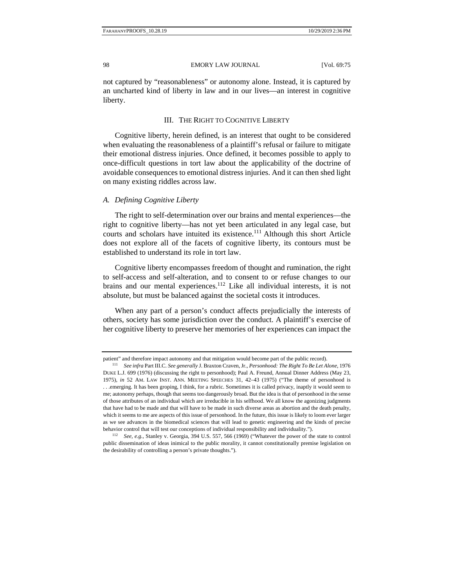not captured by "reasonableness" or autonomy alone. Instead, it is captured by an uncharted kind of liberty in law and in our lives—an interest in cognitive liberty.

#### III. THE RIGHT TO COGNITIVE LIBERTY

Cognitive liberty, herein defined, is an interest that ought to be considered when evaluating the reasonableness of a plaintiff's refusal or failure to mitigate their emotional distress injuries. Once defined, it becomes possible to apply to once-difficult questions in tort law about the applicability of the doctrine of avoidable consequences to emotional distress injuries. And it can then shed light on many existing riddles across law.

#### *A. Defining Cognitive Liberty*

The right to self-determination over our brains and mental experiences—the right to cognitive liberty—has not yet been articulated in any legal case, but courts and scholars have intuited its existence.<sup>111</sup> Although this short Article does not explore all of the facets of cognitive liberty, its contours must be established to understand its role in tort law.

Cognitive liberty encompasses freedom of thought and rumination, the right to self-access and self-alteration, and to consent to or refuse changes to our brains and our mental experiences.<sup>112</sup> Like all individual interests, it is not absolute, but must be balanced against the societal costs it introduces.

When any part of a person's conduct affects prejudicially the interests of others, society has some jurisdiction over the conduct. A plaintiff's exercise of her cognitive liberty to preserve her memories of her experiences can impact the

patient" and therefore impact autonomy and that mitigation would become part of the public record).<br><sup>111</sup> See infra Part III.C. See generally J. Braxton Craven, Jr., *Personhood: The Right To Be Let Alone*, 1976

DUKE L.J. 699 (1976) (discussing the right to personhood); Paul A. Freund, Annual Dinner Address (May 23, 1975), *in* 52 AM. LAW INST. ANN. MEETING SPEECHES 31, 42–43 (1975) ("The theme of personhood is . . .emerging. It has been groping, I think, for a rubric. Sometimes it is called privacy, inaptly it would seem to me; autonomy perhaps, though that seems too dangerously broad. But the idea is that of personhood in the sense of those attributes of an individual which are irreducible in his selfhood. We all know the agonizing judgments that have had to be made and that will have to be made in such diverse areas as abortion and the death penalty, which it seems to me are aspects of this issue of personhood. In the future, this issue is likely to loom ever larger as we see advances in the biomedical sciences that will lead to genetic engineering and the kinds of precise behavior control that will test our conceptions of individual responsibility and individuality."). 112 *See, e.g.*, Stanley v. Georgia, 394 U.S. 557, 566 (1969) ("Whatever the power of the state to control

public dissemination of ideas inimical to the public morality, it cannot constitutionally premise legislation on the desirability of controlling a person's private thoughts.").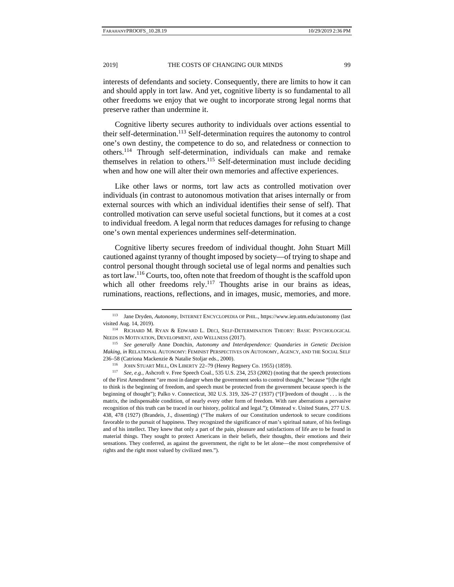interests of defendants and society. Consequently, there are limits to how it can and should apply in tort law. And yet, cognitive liberty is so fundamental to all other freedoms we enjoy that we ought to incorporate strong legal norms that preserve rather than undermine it.

Cognitive liberty secures authority to individuals over actions essential to their self-determination.<sup>113</sup> Self-determination requires the autonomy to control one's own destiny, the competence to do so, and relatedness or connection to others.114 Through self-determination, individuals can make and remake themselves in relation to others.<sup>115</sup> Self-determination must include deciding when and how one will alter their own memories and affective experiences.

Like other laws or norms, tort law acts as controlled motivation over individuals (in contrast to autonomous motivation that arises internally or from external sources with which an individual identifies their sense of self). That controlled motivation can serve useful societal functions, but it comes at a cost to individual freedom. A legal norm that reduces damages for refusing to change one's own mental experiences undermines self-determination.

Cognitive liberty secures freedom of individual thought. John Stuart Mill cautioned against tyranny of thought imposed by society—of trying to shape and control personal thought through societal use of legal norms and penalties such as tort law.<sup>116</sup> Courts, too, often note that freedom of thought is the scaffold upon which all other freedoms rely.<sup>117</sup> Thoughts arise in our brains as ideas, ruminations, reactions, reflections, and in images, music, memories, and more.

<sup>113</sup> Jane Dryden, *Autonomy*, INTERNET ENCYCLOPEDIA OF PHIL., https://www.iep.utm.edu/autonomy (last visited Aug. 14, 2019). 114 RICHARD M. RYAN & EDWARD L. DECI, SELF-DETERMINATION THEORY: BASIC PSYCHOLOGICAL

NEEDS IN MOTIVATION, DEVELOPMENT, AND WELLNESS (2017). 115 *See generally* Anne Donchin, *Autonomy and Interdependence: Quandaries in Genetic Decision* 

*Making*, *in* RELATIONAL AUTONOMY: FEMINIST PERSPECTIVES ON AUTONOMY, AGENCY, AND THE SOCIAL SELF 236–58 (Catriona Mackenzie & Natalie Stoljar eds., 2000).<br><sup>116</sup> JOHN STUART MILL, ON LIBERTY 22–79 (Henry Regnery Co. 1955) (1859).<br><sup>117</sup> *See, e.g.*, Ashcroft v. Free Speech Coal., 535 U.S. 234, 253 (2002) (noting that th

of the First Amendment "are most in danger when the government seeks to control thought," because "[t]he right to think is the beginning of freedom, and speech must be protected from the government because speech is the beginning of thought"); Palko v. Connecticut, 302 U.S. 319, 326–27 (1937) ("[F]reedom of thought . . . is the matrix, the indispensable condition, of nearly every other form of freedom. With rare aberrations a pervasive recognition of this truth can be traced in our history, political and legal."); Olmstead v. United States, 277 U.S. 438, 478 (1927) (Brandeis, J., dissenting) ("The makers of our Constitution undertook to secure conditions favorable to the pursuit of happiness. They recognized the significance of man's spiritual nature, of his feelings and of his intellect. They knew that only a part of the pain, pleasure and satisfactions of life are to be found in material things. They sought to protect Americans in their beliefs, their thoughts, their emotions and their sensations. They conferred, as against the government, the right to be let alone—the most comprehensive of rights and the right most valued by civilized men.").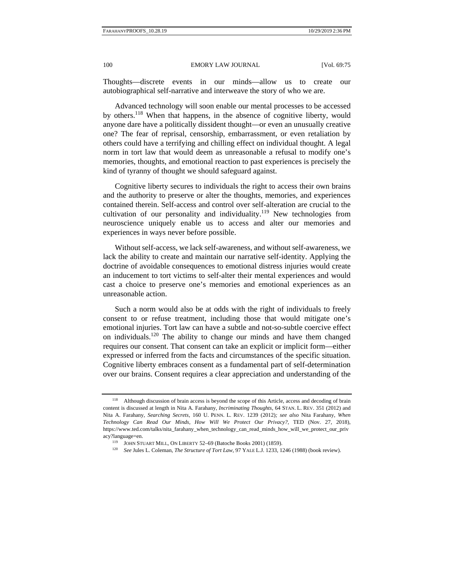Thoughts—discrete events in our minds—allow us to create our autobiographical self-narrative and interweave the story of who we are.

Advanced technology will soon enable our mental processes to be accessed by others.<sup>118</sup> When that happens, in the absence of cognitive liberty, would anyone dare have a politically dissident thought—or even an unusually creative one? The fear of reprisal, censorship, embarrassment, or even retaliation by others could have a terrifying and chilling effect on individual thought. A legal norm in tort law that would deem as unreasonable a refusal to modify one's memories, thoughts, and emotional reaction to past experiences is precisely the kind of tyranny of thought we should safeguard against.

Cognitive liberty secures to individuals the right to access their own brains and the authority to preserve or alter the thoughts, memories, and experiences contained therein. Self-access and control over self-alteration are crucial to the cultivation of our personality and individuality.<sup>119</sup> New technologies from neuroscience uniquely enable us to access and alter our memories and experiences in ways never before possible.

Without self-access, we lack self-awareness, and without self-awareness, we lack the ability to create and maintain our narrative self-identity. Applying the doctrine of avoidable consequences to emotional distress injuries would create an inducement to tort victims to self-alter their mental experiences and would cast a choice to preserve one's memories and emotional experiences as an unreasonable action.

Such a norm would also be at odds with the right of individuals to freely consent to or refuse treatment, including those that would mitigate one's emotional injuries. Tort law can have a subtle and not-so-subtle coercive effect on individuals.120 The ability to change our minds and have them changed requires our consent. That consent can take an explicit or implicit form—either expressed or inferred from the facts and circumstances of the specific situation. Cognitive liberty embraces consent as a fundamental part of self-determination over our brains. Consent requires a clear appreciation and understanding of the

<sup>118</sup> Although discussion of brain access is beyond the scope of this Article, access and decoding of brain content is discussed at length in Nita A. Farahany, *Incriminating Thoughts*, 64 STAN. L. REV. 351 (2012) and Nita A. Farahany, *Searching Secrets*, 160 U. PENN. L. REV. 1239 (2012)*; see also* Nita Farahany, *When Technology Can Read Our Minds, How Will We Protect Our Privacy?*, TED (Nov. 27, 2018), https://www.ted.com/talks/nita\_farahany\_when\_technology\_can\_read\_minds\_how\_will\_we\_protect\_our\_priv acy?language=en. 119 JOHN STUART MILL, ON LIBERTY 52–69 (Batoche Books 2001) (1859). 120 *See* Jules L. Coleman, *The Structure of Tort Law*, 97 YALE L.J. 1233, 1246 (1988) (book review).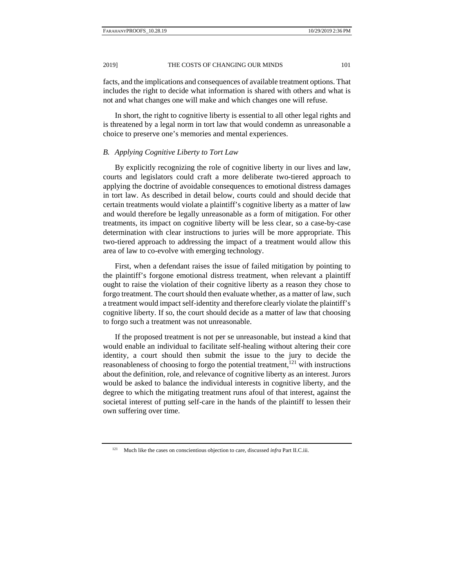facts, and the implications and consequences of available treatment options. That includes the right to decide what information is shared with others and what is not and what changes one will make and which changes one will refuse.

In short, the right to cognitive liberty is essential to all other legal rights and is threatened by a legal norm in tort law that would condemn as unreasonable a choice to preserve one's memories and mental experiences.

## *B. Applying Cognitive Liberty to Tort Law*

By explicitly recognizing the role of cognitive liberty in our lives and law, courts and legislators could craft a more deliberate two-tiered approach to applying the doctrine of avoidable consequences to emotional distress damages in tort law. As described in detail below, courts could and should decide that certain treatments would violate a plaintiff's cognitive liberty as a matter of law and would therefore be legally unreasonable as a form of mitigation. For other treatments, its impact on cognitive liberty will be less clear, so a case-by-case determination with clear instructions to juries will be more appropriate. This two-tiered approach to addressing the impact of a treatment would allow this area of law to co-evolve with emerging technology.

First, when a defendant raises the issue of failed mitigation by pointing to the plaintiff's forgone emotional distress treatment, when relevant a plaintiff ought to raise the violation of their cognitive liberty as a reason they chose to forgo treatment. The court should then evaluate whether, as a matter of law, such a treatment would impact self-identity and therefore clearly violate the plaintiff's cognitive liberty. If so, the court should decide as a matter of law that choosing to forgo such a treatment was not unreasonable.

If the proposed treatment is not per se unreasonable, but instead a kind that would enable an individual to facilitate self-healing without altering their core identity, a court should then submit the issue to the jury to decide the reasonableness of choosing to forgo the potential treatment, $121$  with instructions about the definition, role, and relevance of cognitive liberty as an interest. Jurors would be asked to balance the individual interests in cognitive liberty, and the degree to which the mitigating treatment runs afoul of that interest, against the societal interest of putting self-care in the hands of the plaintiff to lessen their own suffering over time.

<sup>121</sup> Much like the cases on conscientious objection to care, discussed *infra* Part II.C.iii.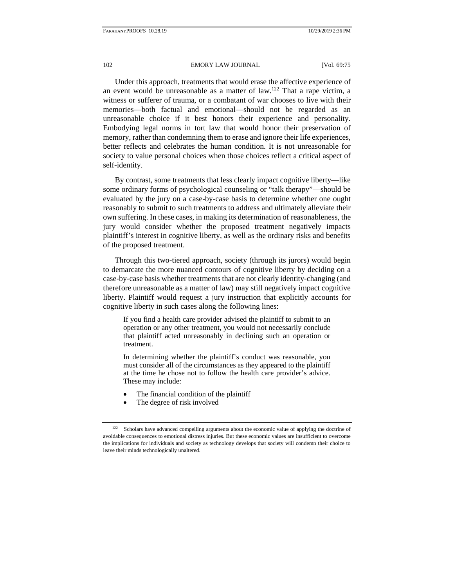Under this approach, treatments that would erase the affective experience of an event would be unreasonable as a matter of law.122 That a rape victim, a witness or sufferer of trauma, or a combatant of war chooses to live with their memories—both factual and emotional—should not be regarded as an unreasonable choice if it best honors their experience and personality. Embodying legal norms in tort law that would honor their preservation of memory, rather than condemning them to erase and ignore their life experiences, better reflects and celebrates the human condition. It is not unreasonable for society to value personal choices when those choices reflect a critical aspect of self-identity.

By contrast, some treatments that less clearly impact cognitive liberty—like some ordinary forms of psychological counseling or "talk therapy"—should be evaluated by the jury on a case-by-case basis to determine whether one ought reasonably to submit to such treatments to address and ultimately alleviate their own suffering. In these cases, in making its determination of reasonableness, the jury would consider whether the proposed treatment negatively impacts plaintiff's interest in cognitive liberty, as well as the ordinary risks and benefits of the proposed treatment.

Through this two-tiered approach, society (through its jurors) would begin to demarcate the more nuanced contours of cognitive liberty by deciding on a case-by-case basis whether treatments that are not clearly identity-changing (and therefore unreasonable as a matter of law) may still negatively impact cognitive liberty. Plaintiff would request a jury instruction that explicitly accounts for cognitive liberty in such cases along the following lines:

If you find a health care provider advised the plaintiff to submit to an operation or any other treatment, you would not necessarily conclude that plaintiff acted unreasonably in declining such an operation or treatment.

In determining whether the plaintiff's conduct was reasonable, you must consider all of the circumstances as they appeared to the plaintiff at the time he chose not to follow the health care provider's advice. These may include:

- The financial condition of the plaintiff
- The degree of risk involved

<sup>&</sup>lt;sup>122</sup> Scholars have advanced compelling arguments about the economic value of applying the doctrine of avoidable consequences to emotional distress injuries. But these economic values are insufficient to overcome the implications for individuals and society as technology develops that society will condemn their choice to leave their minds technologically unaltered.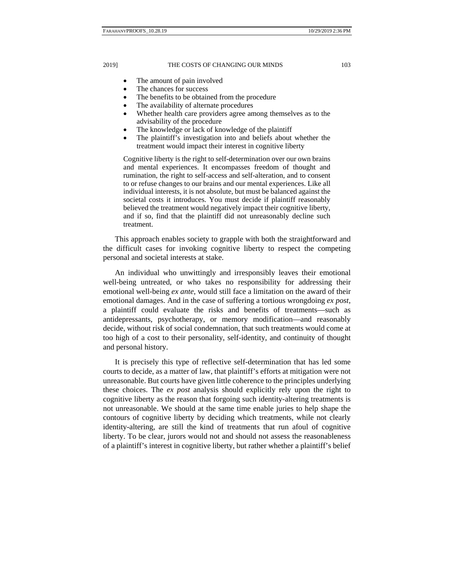- The amount of pain involved
- The chances for success
- The benefits to be obtained from the procedure
- The availability of alternate procedures
- Whether health care providers agree among themselves as to the advisability of the procedure
- The knowledge or lack of knowledge of the plaintiff
- The plaintiff's investigation into and beliefs about whether the treatment would impact their interest in cognitive liberty

Cognitive liberty is the right to self-determination over our own brains and mental experiences. It encompasses freedom of thought and rumination, the right to self-access and self-alteration, and to consent to or refuse changes to our brains and our mental experiences. Like all individual interests, it is not absolute, but must be balanced against the societal costs it introduces. You must decide if plaintiff reasonably believed the treatment would negatively impact their cognitive liberty, and if so, find that the plaintiff did not unreasonably decline such treatment.

This approach enables society to grapple with both the straightforward and the difficult cases for invoking cognitive liberty to respect the competing personal and societal interests at stake.

An individual who unwittingly and irresponsibly leaves their emotional well-being untreated, or who takes no responsibility for addressing their emotional well-being *ex ante*, would still face a limitation on the award of their emotional damages. And in the case of suffering a tortious wrongdoing *ex post*, a plaintiff could evaluate the risks and benefits of treatments—such as antidepressants, psychotherapy, or memory modification—and reasonably decide, without risk of social condemnation, that such treatments would come at too high of a cost to their personality, self-identity, and continuity of thought and personal history.

It is precisely this type of reflective self-determination that has led some courts to decide, as a matter of law, that plaintiff's efforts at mitigation were not unreasonable. But courts have given little coherence to the principles underlying these choices. The *ex post* analysis should explicitly rely upon the right to cognitive liberty as the reason that forgoing such identity-altering treatments is not unreasonable. We should at the same time enable juries to help shape the contours of cognitive liberty by deciding which treatments, while not clearly identity-altering, are still the kind of treatments that run afoul of cognitive liberty. To be clear, jurors would not and should not assess the reasonableness of a plaintiff's interest in cognitive liberty, but rather whether a plaintiff's belief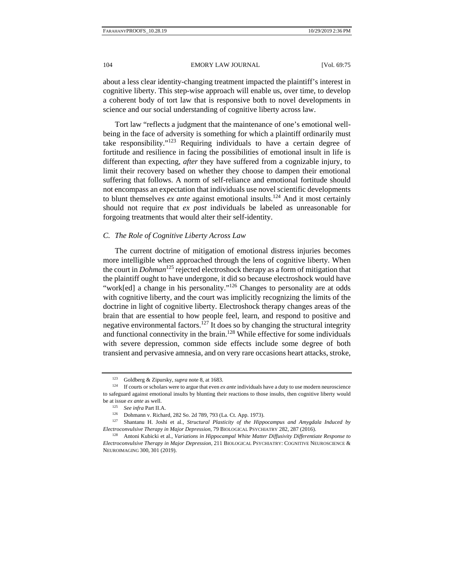about a less clear identity-changing treatment impacted the plaintiff's interest in cognitive liberty. This step-wise approach will enable us, over time, to develop a coherent body of tort law that is responsive both to novel developments in science and our social understanding of cognitive liberty across law.

Tort law "reflects a judgment that the maintenance of one's emotional wellbeing in the face of adversity is something for which a plaintiff ordinarily must take responsibility."<sup>123</sup> Requiring individuals to have a certain degree of fortitude and resilience in facing the possibilities of emotional insult in life is different than expecting, *after* they have suffered from a cognizable injury, to limit their recovery based on whether they choose to dampen their emotional suffering that follows. A norm of self-reliance and emotional fortitude should not encompass an expectation that individuals use novel scientific developments to blunt themselves *ex ante* against emotional insults.<sup>124</sup> And it most certainly should not require that *ex post* individuals be labeled as unreasonable for forgoing treatments that would alter their self-identity.

#### *C. The Role of Cognitive Liberty Across Law*

The current doctrine of mitigation of emotional distress injuries becomes more intelligible when approached through the lens of cognitive liberty. When the court in *Dohman*<sup>125</sup> rejected electroshock therapy as a form of mitigation that the plaintiff ought to have undergone, it did so because electroshock would have "work[ed] a change in his personality."<sup>126</sup> Changes to personality are at odds with cognitive liberty, and the court was implicitly recognizing the limits of the doctrine in light of cognitive liberty. Electroshock therapy changes areas of the brain that are essential to how people feel, learn, and respond to positive and negative environmental factors.<sup>127</sup> It does so by changing the structural integrity and functional connectivity in the brain.<sup>128</sup> While effective for some individuals with severe depression, common side effects include some degree of both transient and pervasive amnesia, and on very rare occasions heart attacks, stroke,

<sup>&</sup>lt;sup>123</sup> Goldberg & Zipursky, *supra* note 8, at 1683.<br><sup>124</sup> If courts or scholars were to argue that even *ex ante* individuals have a duty to use modern neuroscience to safeguard against emotional insults by blunting their reactions to those insults, then cognitive liberty would be at issue *ex ante* as well.<br>
<sup>125</sup> See infra Part II.A.<br>
<sup>126</sup> Dohmann v. Richard, 282 So. 2d 789, 793 (La. Ct. App. 1973).<br>
<sup>127</sup> Shantanu H. Joshi et al., *Structural Plasticity of the Hippocampus and Amygdala Induce* 

*Electroconvulsive Therapy in Major Depression*, 79 BIOLOGICAL PSYCHIATRY 282, 287 (2016). 128 Antoni Kubicki et al., *Variations in Hippocampal White Matter Diffusivity Differentiate Response to* 

*Electroconvulsive Therapy in Major Depression*, 211 BIOLOGICAL PSYCHIATRY: COGNITIVE NEUROSCIENCE & NEUROIMAGING 300, 301 (2019).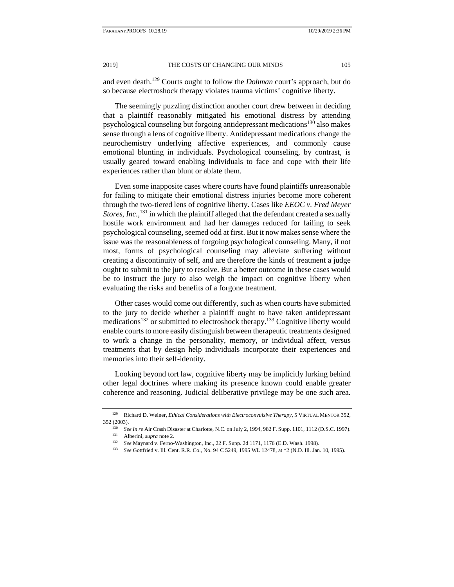and even death.129 Courts ought to follow the *Dohman* court's approach, but do so because electroshock therapy violates trauma victims' cognitive liberty.

The seemingly puzzling distinction another court drew between in deciding that a plaintiff reasonably mitigated his emotional distress by attending psychological counseling but forgoing antidepressant medications<sup>130</sup> also makes sense through a lens of cognitive liberty. Antidepressant medications change the neurochemistry underlying affective experiences, and commonly cause emotional blunting in individuals. Psychological counseling, by contrast, is usually geared toward enabling individuals to face and cope with their life experiences rather than blunt or ablate them.

Even some inapposite cases where courts have found plaintiffs unreasonable for failing to mitigate their emotional distress injuries become more coherent through the two-tiered lens of cognitive liberty. Cases like *EEOC v. Fred Meyer*  Stores, Inc.,<sup>131</sup> in which the plaintiff alleged that the defendant created a sexually hostile work environment and had her damages reduced for failing to seek psychological counseling, seemed odd at first. But it now makes sense where the issue was the reasonableness of forgoing psychological counseling. Many, if not most, forms of psychological counseling may alleviate suffering without creating a discontinuity of self, and are therefore the kinds of treatment a judge ought to submit to the jury to resolve. But a better outcome in these cases would be to instruct the jury to also weigh the impact on cognitive liberty when evaluating the risks and benefits of a forgone treatment.

Other cases would come out differently, such as when courts have submitted to the jury to decide whether a plaintiff ought to have taken antidepressant medications<sup>132</sup> or submitted to electroshock therapy.<sup>133</sup> Cognitive liberty would enable courts to more easily distinguish between therapeutic treatments designed to work a change in the personality, memory, or individual affect, versus treatments that by design help individuals incorporate their experiences and memories into their self-identity.

Looking beyond tort law, cognitive liberty may be implicitly lurking behind other legal doctrines where making its presence known could enable greater coherence and reasoning. Judicial deliberative privilege may be one such area.

<sup>129</sup> Richard D. Weiner, *Ethical Considerations with Electroconvulsive Therapy*, 5 VIRTUAL MENTOR 352, 352 (2003).<br>
<sup>130</sup> See In re Air Crash Disaster at Charlotte, N.C. on July 2, 1994, 982 F. Supp. 1101, 1112 (D.S.C. 1997).<br>
<sup>131</sup> Alberini, *supra* note 2.<br>
<sup>132</sup> See Maynard v. Ferno-Washington, Inc., 22 F. Supp. 2d 1171

<sup>133</sup> *See* Gottfried v. Ill. Cent. R.R. Co., No. 94 C 5249, 1995 WL 12478, at \*2 (N.D. Ill. Jan. 10, 1995).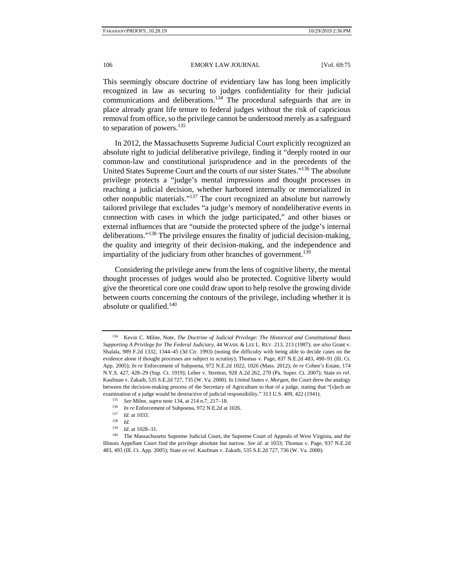This seemingly obscure doctrine of evidentiary law has long been implicitly recognized in law as securing to judges confidentiality for their judicial communications and deliberations.134 The procedural safeguards that are in place already grant life tenure to federal judges without the risk of capricious removal from office, so the privilege cannot be understood merely as a safeguard to separation of powers.135

In 2012, the Massachusetts Supreme Judicial Court explicitly recognized an absolute right to judicial deliberative privilege, finding it "deeply rooted in our common-law and constitutional jurisprudence and in the precedents of the United States Supreme Court and the courts of our sister States."<sup>136</sup> The absolute privilege protects a "judge's mental impressions and thought processes in reaching a judicial decision, whether harbored internally or memorialized in other nonpublic materials."137 The court recognized an absolute but narrowly tailored privilege that excludes "a judge's memory of nondeliberative events in connection with cases in which the judge participated," and other biases or external influences that are "outside the protected sphere of the judge's internal deliberations."138 The privilege ensures the finality of judicial decision-making, the quality and integrity of their decision-making, and the independence and impartiality of the judiciary from other branches of government.<sup>139</sup>

Considering the privilege anew from the lens of cognitive liberty, the mental thought processes of judges would also be protected. Cognitive liberty would give the theoretical core one could draw upon to help resolve the growing divide between courts concerning the contours of the privilege, including whether it is absolute or qualified. $140$ 

<sup>134</sup> Kevin C. Milne, Note, *The Doctrine of Judicial Privilege: The Historical and Constitutional Basis Supporting A Privilege for The Federal Judiciary*, 44 WASH. & LEE L. REV. 213, 213 (1987); *see also* Grant v. Shalala, 989 F.2d 1332, 1344–45 (3d Cir. 1993) (noting the difficulty with being able to decide cases on the evidence alone if thought processes are subject to scrutiny); Thomas v. Page, 837 N.E.2d 483, 490–91 (Ill. Ct. App. 2005); *In re* Enforcement of Subpoena, 972 N.E.2d 1022, 1026 (Mass. 2012); *In re* Cohen's Estate, 174 N.Y.S. 427, 428–29 (Sup. Ct. 1919); Leber v. Stretton, 928 A.2d 262, 270 (Pa. Super. Ct. 2007); State *ex rel*. Kaufman v. Zakaib, 535 S.E.2d 727, 735 (W. Va. 2000). In *United States v. Morgan*, the Court drew the analogy between the decision-making process of the Secretary of Agriculture to that of a judge, stating that "[s]uch an examination of a judge would be destructive of judicial responsibility." 313 U.S. 409, 422 (1941).<br>
<sup>135</sup> See Milne, *supra* note 134, at 214 n.7, 217–18.<br>
<sup>136</sup> In re Enforcement of Subpoena, 972 N.E.2d at 1026.<br>
<sup>137</sup> I

Illinois Appellate Court find the privilege absolute but narrow. *See id.* at 1033; Thomas v. Page, 937 N.E.2d 483, 493 (Ill. Ct. App. 2005); State *ex rel.* Kaufman v. Zakaib, 535 S.E.2d 727, 736 (W. Va. 2000).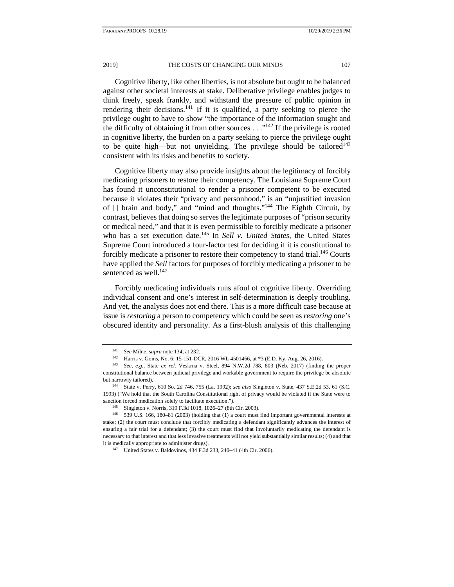Cognitive liberty, like other liberties, is not absolute but ought to be balanced against other societal interests at stake. Deliberative privilege enables judges to think freely, speak frankly, and withstand the pressure of public opinion in rendering their decisions.<sup>141</sup> If it is qualified, a party seeking to pierce the privilege ought to have to show "the importance of the information sought and the difficulty of obtaining it from other sources  $\ldots$ <sup>142</sup> If the privilege is rooted in cognitive liberty, the burden on a party seeking to pierce the privilege ought to be quite high—but not unyielding. The privilege should be tailored<sup>143</sup> consistent with its risks and benefits to society.

Cognitive liberty may also provide insights about the legitimacy of forcibly medicating prisoners to restore their competency. The Louisiana Supreme Court has found it unconstitutional to render a prisoner competent to be executed because it violates their "privacy and personhood," is an "unjustified invasion of [] brain and body," and "mind and thoughts."144 The Eighth Circuit, by contrast, believes that doing so serves the legitimate purposes of "prison security or medical need," and that it is even permissible to forcibly medicate a prisoner who has a set execution date.145 In *Sell v. United States*, the United States Supreme Court introduced a four-factor test for deciding if it is constitutional to forcibly medicate a prisoner to restore their competency to stand trial.<sup>146</sup> Courts have applied the *Sell* factors for purposes of forcibly medicating a prisoner to be sentenced as well.<sup>147</sup>

Forcibly medicating individuals runs afoul of cognitive liberty. Overriding individual consent and one's interest in self-determination is deeply troubling. And yet, the analysis does not end there. This is a more difficult case because at issue is *restoring* a person to competency which could be seen as *restoring* one's obscured identity and personality. As a first-blush analysis of this challenging

<sup>&</sup>lt;sup>141</sup> See Milne, *supra* note 134, at 232.<br><sup>142</sup> Harris v. Goins, No. 6: 15-151-DCR, 2016 WL 4501466, at \*3 (E.D. Ky. Aug. 26, 2016).<br><sup>143</sup> See, e.g., State ex rel. Veskma v. Steel, 894 N.W.2d 788, 803 (Neb. 2017) (findin

constitutional balance between judicial privilege and workable government to require the privilege be absolute

but narrowly tailored). 144 State v. Perry, 610 So. 2d 746, 755 (La. 1992); *see also* Singleton v. State, 437 S.E.2d 53, 61 (S.C. 1993) ("We hold that the South Carolina Constitutional right of privacy would be violated if the State were to sanction forced medication solely to facilitate execution.").<br><sup>145</sup> Singleton v. Norris, 319 F.3d 1018, 1026–27 (8th Cir. 2003).<br><sup>146</sup> 539 U.S. 166, 180–81 (2003) (holding that (1) a court must find important governmental

stake; (2) the court must conclude that forcibly medicating a defendant significantly advances the interest of ensuring a fair trial for a defendant; (3) the court must find that involuntarily medicating the defendant is necessary to that interest and that less invasive treatments will not yield substantially similar results; (4) and that it is medically appropriate to administer drugs). 147 United States v. Baldovinos, 434 F.3d 233, 240–41 (4th Cir. 2006).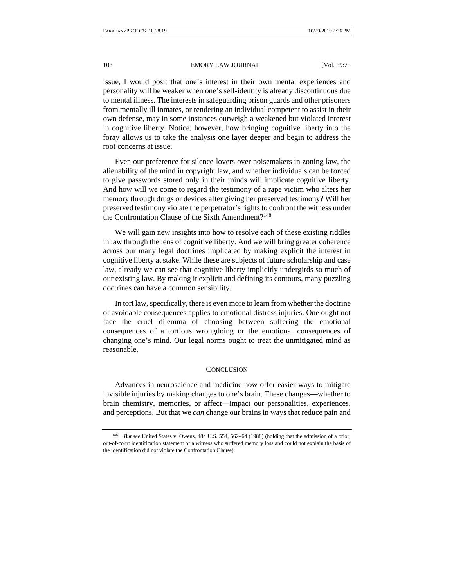issue, I would posit that one's interest in their own mental experiences and personality will be weaker when one's self-identity is already discontinuous due to mental illness. The interests in safeguarding prison guards and other prisoners from mentally ill inmates, or rendering an individual competent to assist in their own defense, may in some instances outweigh a weakened but violated interest in cognitive liberty. Notice, however, how bringing cognitive liberty into the foray allows us to take the analysis one layer deeper and begin to address the root concerns at issue.

Even our preference for silence-lovers over noisemakers in zoning law, the alienability of the mind in copyright law, and whether individuals can be forced to give passwords stored only in their minds will implicate cognitive liberty. And how will we come to regard the testimony of a rape victim who alters her memory through drugs or devices after giving her preserved testimony? Will her preserved testimony violate the perpetrator's rights to confront the witness under the Confrontation Clause of the Sixth Amendment?<sup>148</sup>

We will gain new insights into how to resolve each of these existing riddles in law through the lens of cognitive liberty. And we will bring greater coherence across our many legal doctrines implicated by making explicit the interest in cognitive liberty at stake. While these are subjects of future scholarship and case law, already we can see that cognitive liberty implicitly undergirds so much of our existing law. By making it explicit and defining its contours, many puzzling doctrines can have a common sensibility.

In tort law, specifically, there is even more to learn from whether the doctrine of avoidable consequences applies to emotional distress injuries: One ought not face the cruel dilemma of choosing between suffering the emotional consequences of a tortious wrongdoing or the emotional consequences of changing one's mind. Our legal norms ought to treat the unmitigated mind as reasonable.

#### **CONCLUSION**

Advances in neuroscience and medicine now offer easier ways to mitigate invisible injuries by making changes to one's brain. These changes—whether to brain chemistry, memories, or affect—impact our personalities, experiences, and perceptions. But that we *can* change our brains in ways that reduce pain and

<sup>148</sup> *But see* United States v. Owens*,* 484 U.S. 554, 562–64 (1988) (holding that the admission of a prior, out-of-court identification statement of a witness who suffered memory loss and could not explain the basis of the identification did not violate the Confrontation Clause).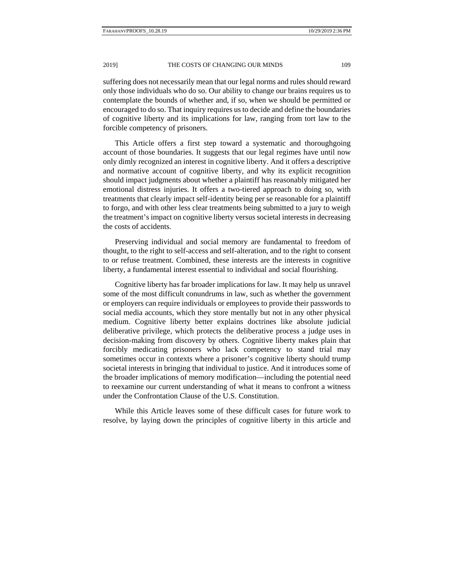suffering does not necessarily mean that our legal norms and rules should reward only those individuals who do so. Our ability to change our brains requires us to contemplate the bounds of whether and, if so, when we should be permitted or encouraged to do so. That inquiry requires us to decide and define the boundaries of cognitive liberty and its implications for law, ranging from tort law to the forcible competency of prisoners.

This Article offers a first step toward a systematic and thoroughgoing account of those boundaries. It suggests that our legal regimes have until now only dimly recognized an interest in cognitive liberty. And it offers a descriptive and normative account of cognitive liberty, and why its explicit recognition should impact judgments about whether a plaintiff has reasonably mitigated her emotional distress injuries. It offers a two-tiered approach to doing so, with treatments that clearly impact self-identity being per se reasonable for a plaintiff to forgo, and with other less clear treatments being submitted to a jury to weigh the treatment's impact on cognitive liberty versus societal interests in decreasing the costs of accidents.

Preserving individual and social memory are fundamental to freedom of thought, to the right to self-access and self-alteration, and to the right to consent to or refuse treatment. Combined, these interests are the interests in cognitive liberty, a fundamental interest essential to individual and social flourishing.

Cognitive liberty has far broader implications for law. It may help us unravel some of the most difficult conundrums in law, such as whether the government or employers can require individuals or employees to provide their passwords to social media accounts, which they store mentally but not in any other physical medium. Cognitive liberty better explains doctrines like absolute judicial deliberative privilege, which protects the deliberative process a judge uses in decision-making from discovery by others. Cognitive liberty makes plain that forcibly medicating prisoners who lack competency to stand trial may sometimes occur in contexts where a prisoner's cognitive liberty should trump societal interests in bringing that individual to justice. And it introduces some of the broader implications of memory modification—including the potential need to reexamine our current understanding of what it means to confront a witness under the Confrontation Clause of the U.S. Constitution.

While this Article leaves some of these difficult cases for future work to resolve, by laying down the principles of cognitive liberty in this article and